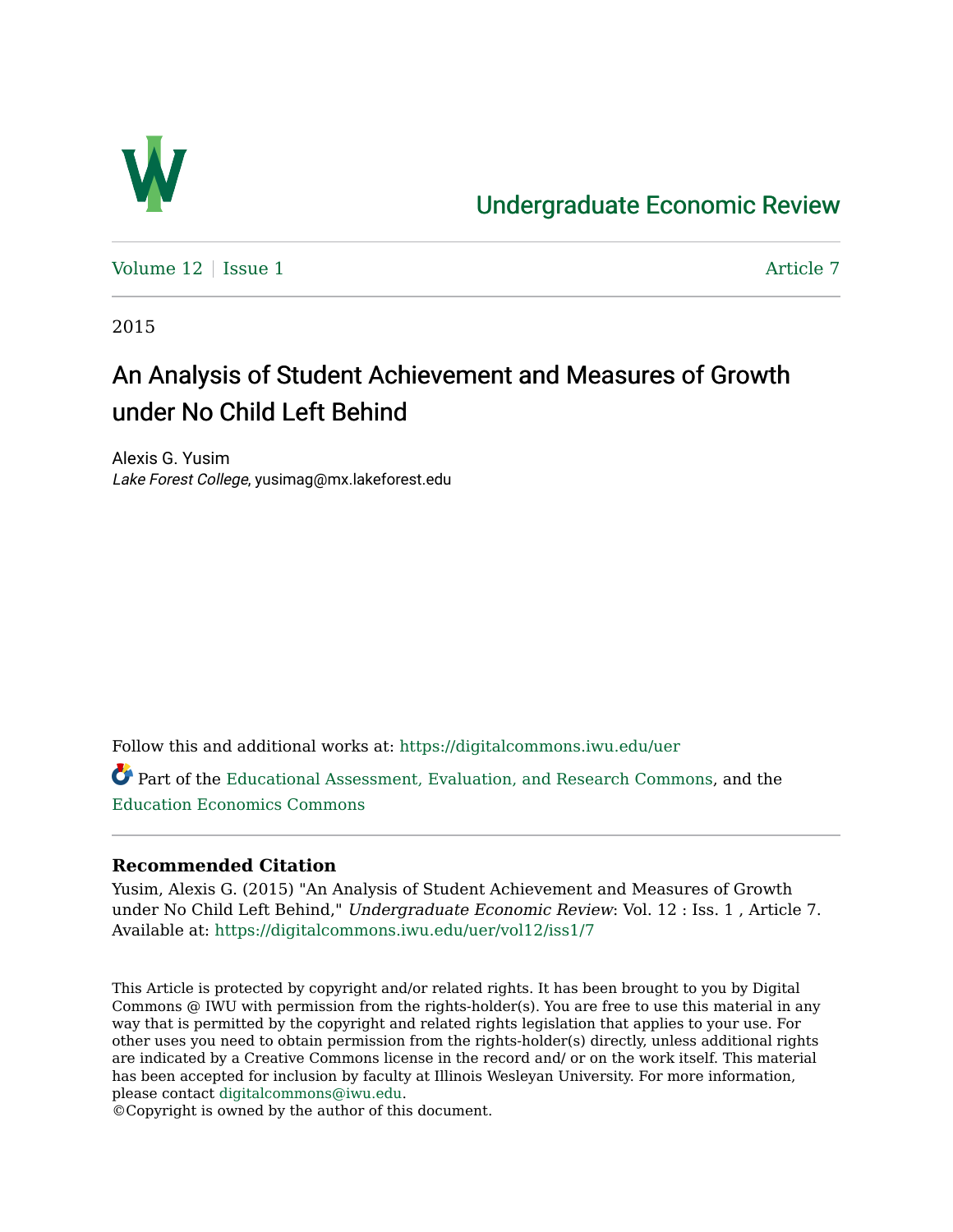

## [Undergraduate Economic Review](https://digitalcommons.iwu.edu/uer)

[Volume 12](https://digitalcommons.iwu.edu/uer/vol12) | [Issue 1](https://digitalcommons.iwu.edu/uer/vol12/iss1) Article 7

2015

# An Analysis of Student Achievement and Measures of Growth under No Child Left Behind

Alexis G. Yusim Lake Forest College, yusimag@mx.lakeforest.edu

Follow this and additional works at: [https://digitalcommons.iwu.edu/uer](https://digitalcommons.iwu.edu/uer?utm_source=digitalcommons.iwu.edu%2Fuer%2Fvol12%2Fiss1%2F7&utm_medium=PDF&utm_campaign=PDFCoverPages)

Part of the [Educational Assessment, Evaluation, and Research Commons](http://network.bepress.com/hgg/discipline/796?utm_source=digitalcommons.iwu.edu%2Fuer%2Fvol12%2Fiss1%2F7&utm_medium=PDF&utm_campaign=PDFCoverPages), and the [Education Economics Commons](http://network.bepress.com/hgg/discipline/1262?utm_source=digitalcommons.iwu.edu%2Fuer%2Fvol12%2Fiss1%2F7&utm_medium=PDF&utm_campaign=PDFCoverPages) 

## **Recommended Citation**

Yusim, Alexis G. (2015) "An Analysis of Student Achievement and Measures of Growth under No Child Left Behind," Undergraduate Economic Review: Vol. 12 : Iss. 1 , Article 7. Available at: [https://digitalcommons.iwu.edu/uer/vol12/iss1/7](https://digitalcommons.iwu.edu/uer/vol12/iss1/7?utm_source=digitalcommons.iwu.edu%2Fuer%2Fvol12%2Fiss1%2F7&utm_medium=PDF&utm_campaign=PDFCoverPages)

This Article is protected by copyright and/or related rights. It has been brought to you by Digital Commons @ IWU with permission from the rights-holder(s). You are free to use this material in any way that is permitted by the copyright and related rights legislation that applies to your use. For other uses you need to obtain permission from the rights-holder(s) directly, unless additional rights are indicated by a Creative Commons license in the record and/ or on the work itself. This material has been accepted for inclusion by faculty at Illinois Wesleyan University. For more information, please contact [digitalcommons@iwu.edu.](mailto:digitalcommons@iwu.edu)

©Copyright is owned by the author of this document.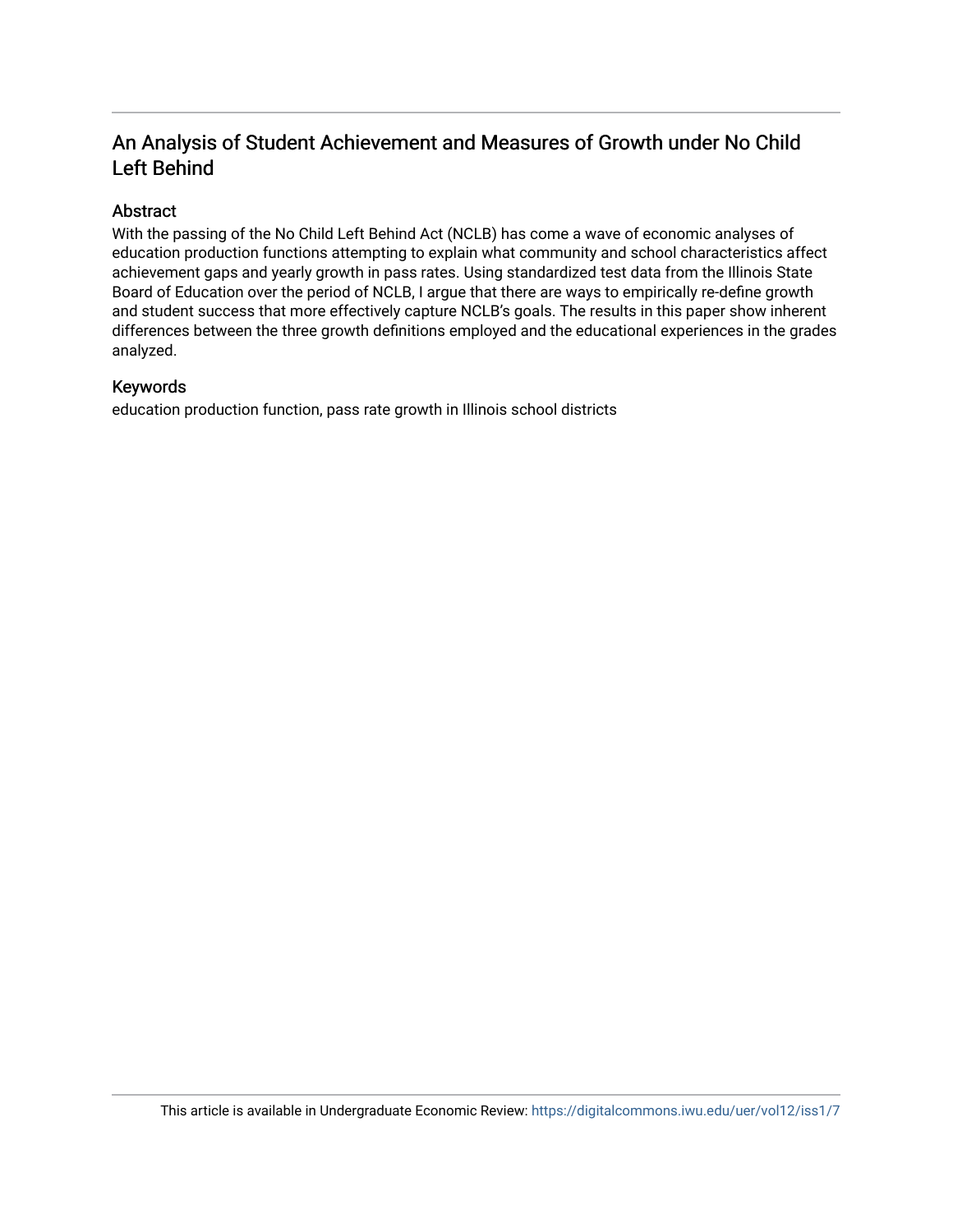## An Analysis of Student Achievement and Measures of Growth under No Child Left Behind

## Abstract

With the passing of the No Child Left Behind Act (NCLB) has come a wave of economic analyses of education production functions attempting to explain what community and school characteristics affect achievement gaps and yearly growth in pass rates. Using standardized test data from the Illinois State Board of Education over the period of NCLB, I argue that there are ways to empirically re-define growth and student success that more effectively capture NCLB's goals. The results in this paper show inherent differences between the three growth definitions employed and the educational experiences in the grades analyzed.

#### Keywords

education production function, pass rate growth in Illinois school districts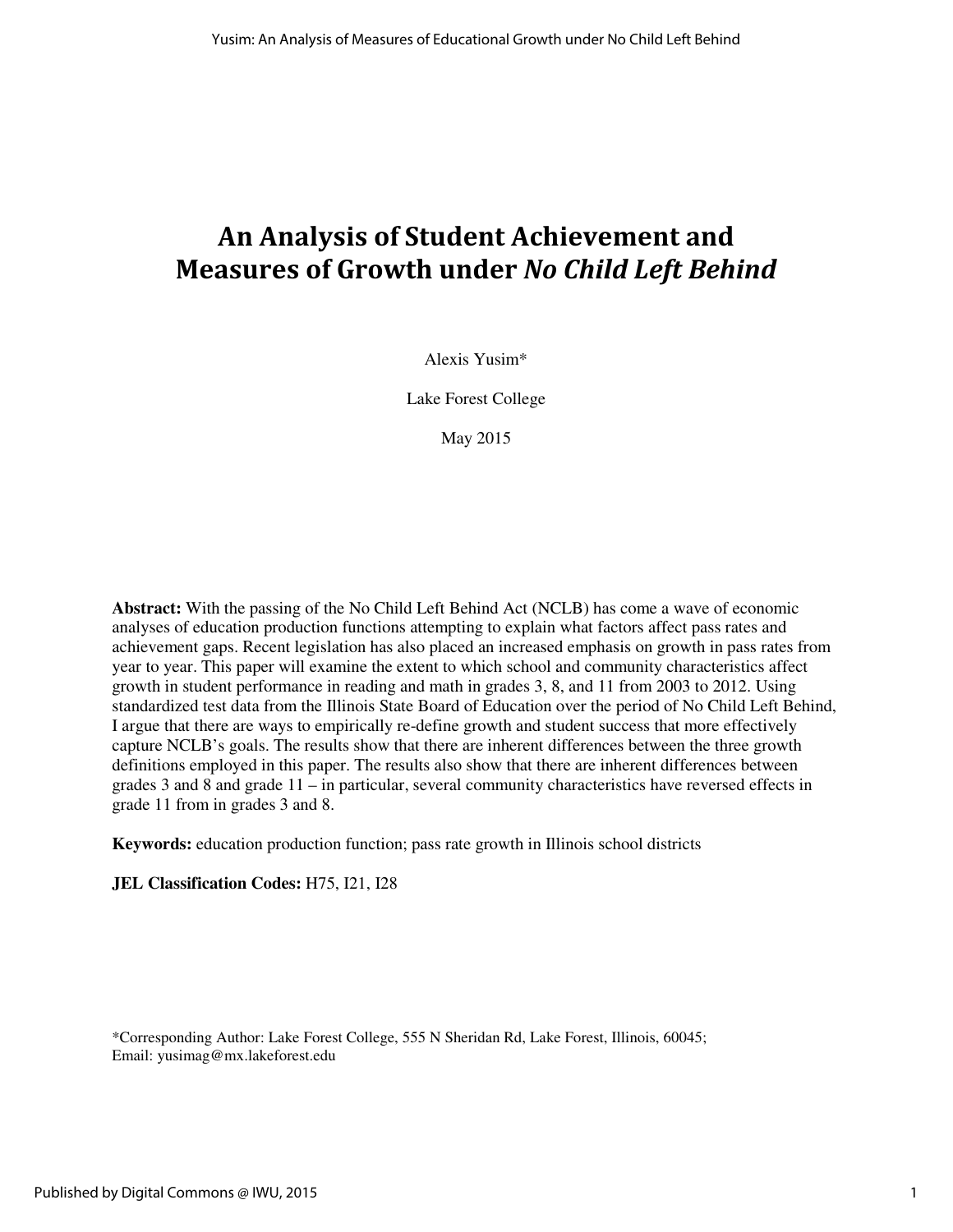# An Analysis of Student Achievement and Measures of Growth under No Child Left Behind

Alexis Yusim\*

Lake Forest College

May 2015

**Abstract:** With the passing of the No Child Left Behind Act (NCLB) has come a wave of economic analyses of education production functions attempting to explain what factors affect pass rates and achievement gaps. Recent legislation has also placed an increased emphasis on growth in pass rates from year to year. This paper will examine the extent to which school and community characteristics affect growth in student performance in reading and math in grades 3, 8, and 11 from 2003 to 2012. Using standardized test data from the Illinois State Board of Education over the period of No Child Left Behind, I argue that there are ways to empirically re-define growth and student success that more effectively capture NCLB's goals. The results show that there are inherent differences between the three growth definitions employed in this paper. The results also show that there are inherent differences between grades 3 and 8 and grade 11 – in particular, several community characteristics have reversed effects in grade 11 from in grades 3 and 8.

**Keywords:** education production function; pass rate growth in Illinois school districts

**JEL Classification Codes:** H75, I21, I28

\*Corresponding Author: Lake Forest College, 555 N Sheridan Rd, Lake Forest, Illinois, 60045; Email: yusimag@mx.lakeforest.edu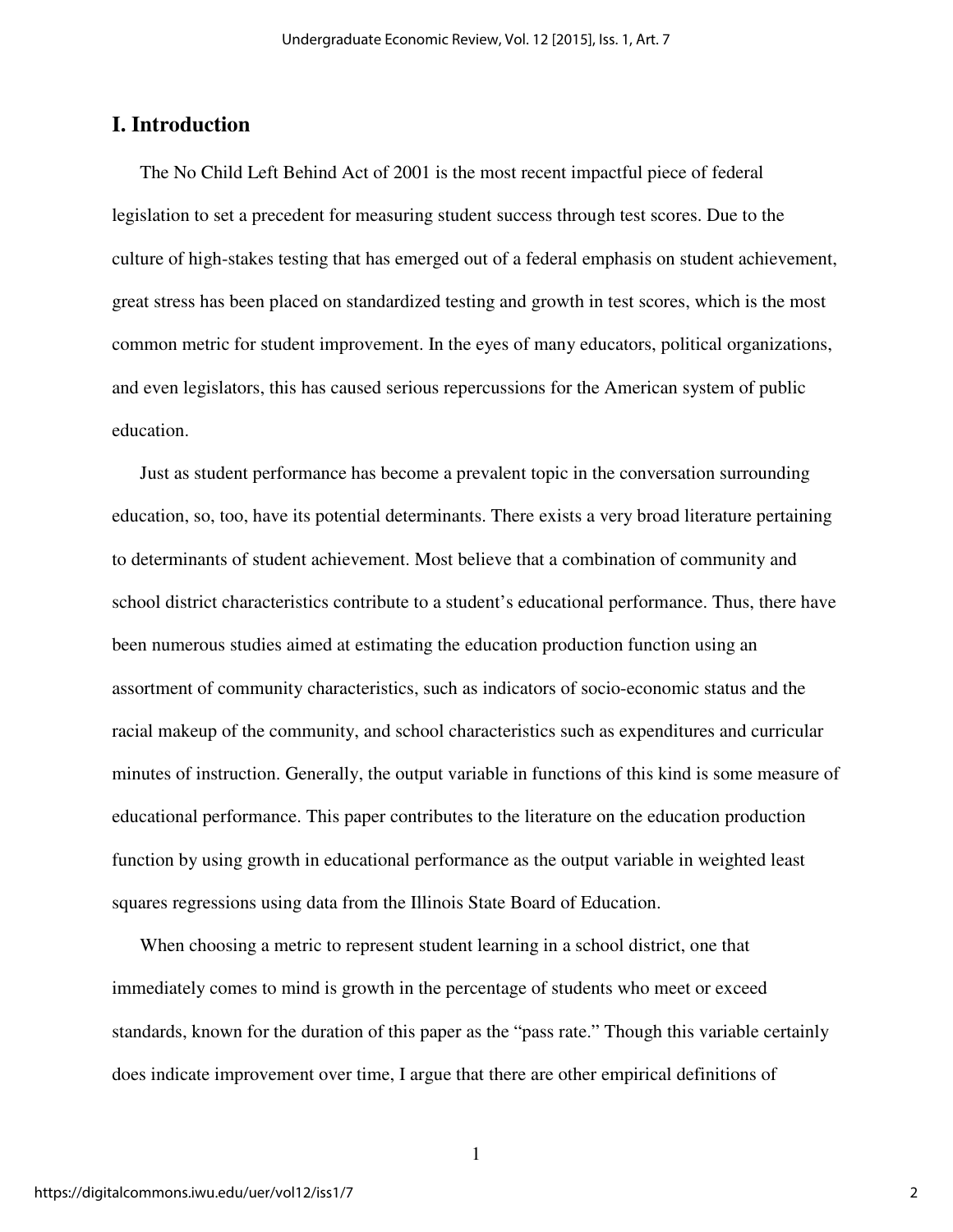## **I. Introduction**

The No Child Left Behind Act of 2001 is the most recent impactful piece of federal legislation to set a precedent for measuring student success through test scores. Due to the culture of high-stakes testing that has emerged out of a federal emphasis on student achievement, great stress has been placed on standardized testing and growth in test scores, which is the most common metric for student improvement. In the eyes of many educators, political organizations, and even legislators, this has caused serious repercussions for the American system of public education.

Just as student performance has become a prevalent topic in the conversation surrounding education, so, too, have its potential determinants. There exists a very broad literature pertaining to determinants of student achievement. Most believe that a combination of community and school district characteristics contribute to a student's educational performance. Thus, there have been numerous studies aimed at estimating the education production function using an assortment of community characteristics, such as indicators of socio-economic status and the racial makeup of the community, and school characteristics such as expenditures and curricular minutes of instruction. Generally, the output variable in functions of this kind is some measure of educational performance. This paper contributes to the literature on the education production function by using growth in educational performance as the output variable in weighted least squares regressions using data from the Illinois State Board of Education.

When choosing a metric to represent student learning in a school district, one that immediately comes to mind is growth in the percentage of students who meet or exceed standards, known for the duration of this paper as the "pass rate." Though this variable certainly does indicate improvement over time, I argue that there are other empirical definitions of

1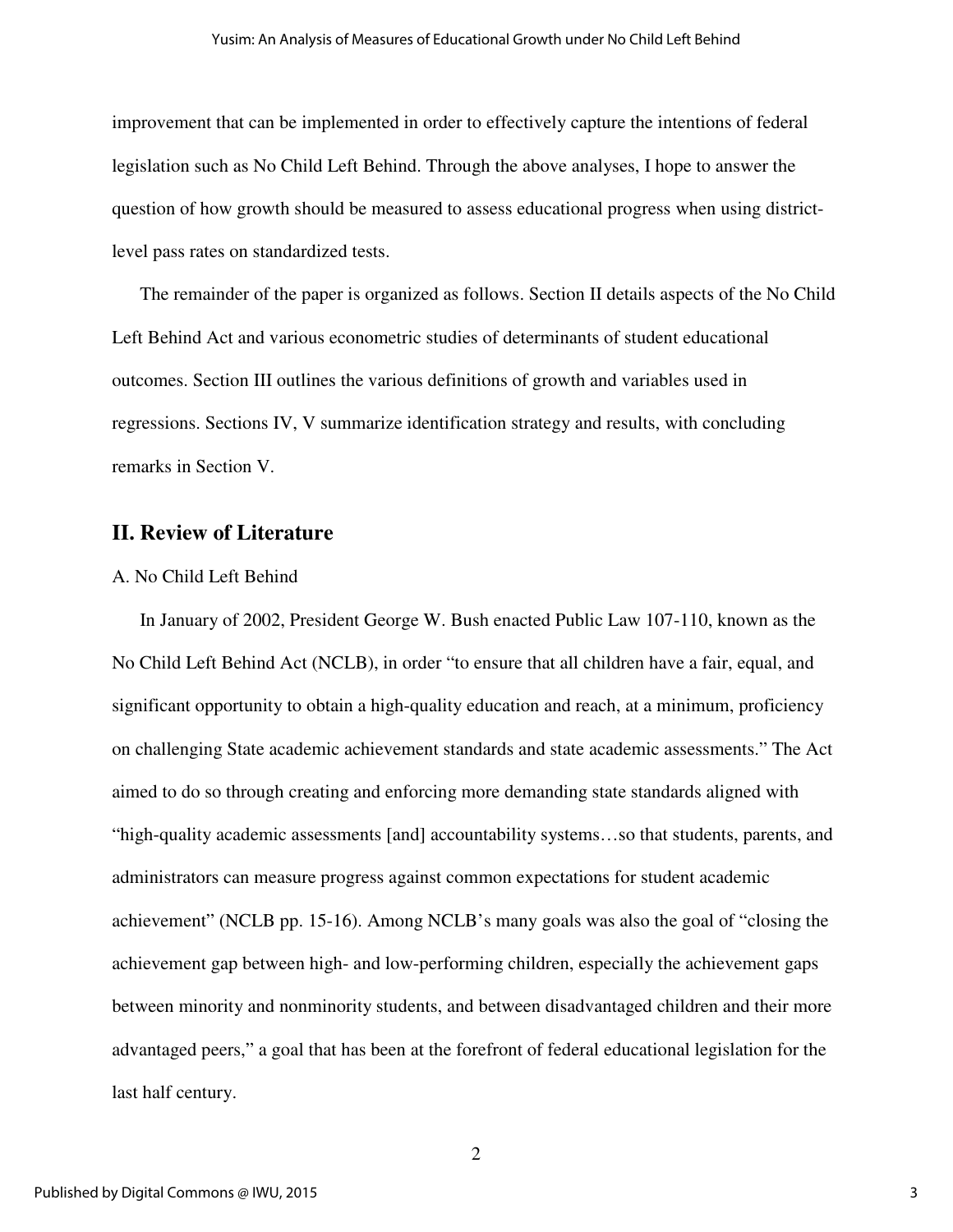improvement that can be implemented in order to effectively capture the intentions of federal legislation such as No Child Left Behind. Through the above analyses, I hope to answer the question of how growth should be measured to assess educational progress when using districtlevel pass rates on standardized tests.

The remainder of the paper is organized as follows. Section II details aspects of the No Child Left Behind Act and various econometric studies of determinants of student educational outcomes. Section III outlines the various definitions of growth and variables used in regressions. Sections IV, V summarize identification strategy and results, with concluding remarks in Section V.

## **II. Review of Literature**

#### A. No Child Left Behind

In January of 2002, President George W. Bush enacted Public Law 107-110, known as the No Child Left Behind Act (NCLB), in order "to ensure that all children have a fair, equal, and significant opportunity to obtain a high-quality education and reach, at a minimum, proficiency on challenging State academic achievement standards and state academic assessments." The Act aimed to do so through creating and enforcing more demanding state standards aligned with "high-quality academic assessments [and] accountability systems…so that students, parents, and administrators can measure progress against common expectations for student academic achievement" (NCLB pp. 15-16). Among NCLB's many goals was also the goal of "closing the achievement gap between high- and low-performing children, especially the achievement gaps between minority and nonminority students, and between disadvantaged children and their more advantaged peers," a goal that has been at the forefront of federal educational legislation for the last half century.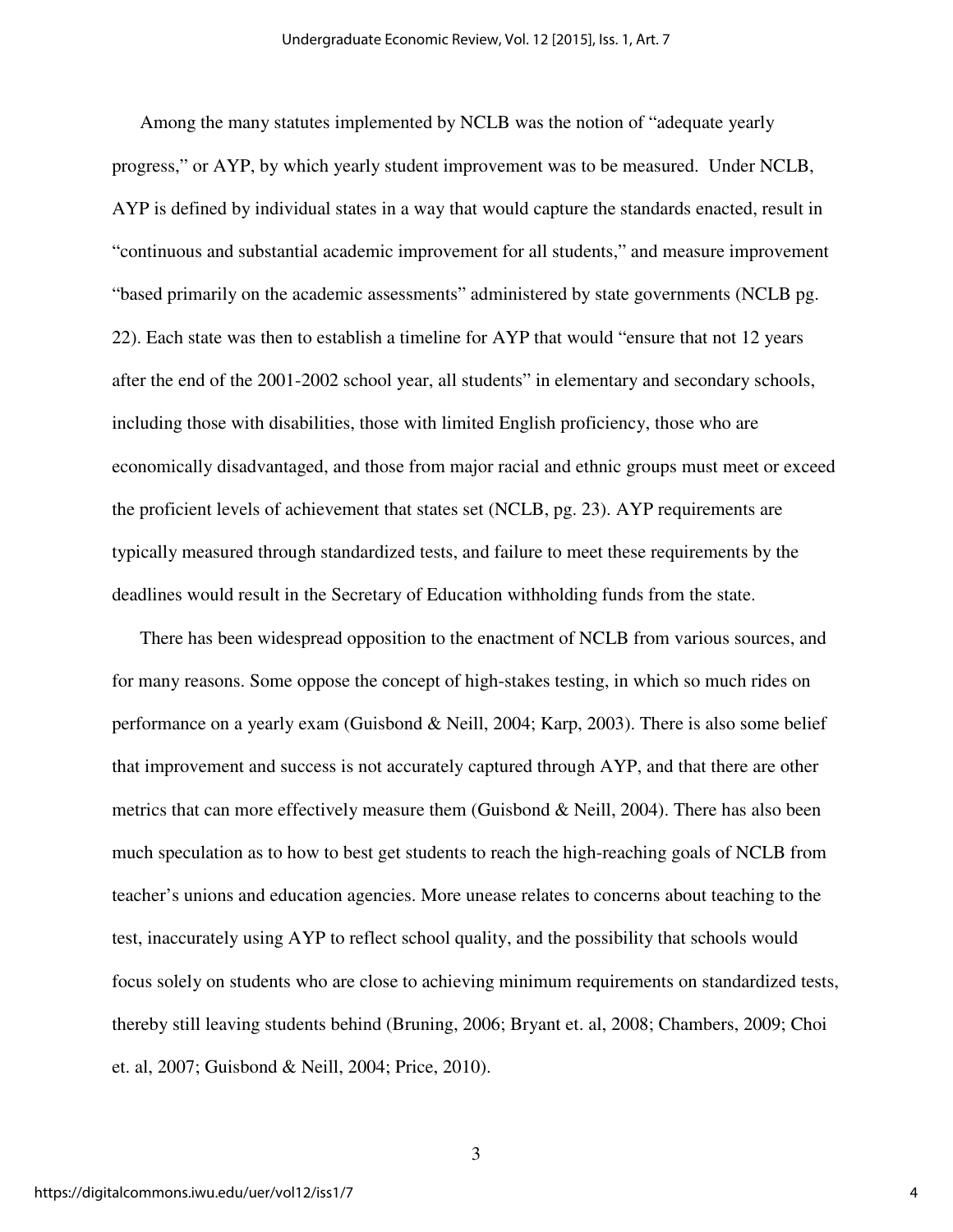Among the many statutes implemented by NCLB was the notion of "adequate yearly progress," or AYP, by which yearly student improvement was to be measured. Under NCLB, AYP is defined by individual states in a way that would capture the standards enacted, result in "continuous and substantial academic improvement for all students," and measure improvement "based primarily on the academic assessments" administered by state governments (NCLB pg. 22). Each state was then to establish a timeline for AYP that would "ensure that not 12 years after the end of the 2001-2002 school year, all students" in elementary and secondary schools, including those with disabilities, those with limited English proficiency, those who are economically disadvantaged, and those from major racial and ethnic groups must meet or exceed the proficient levels of achievement that states set (NCLB, pg. 23). AYP requirements are typically measured through standardized tests, and failure to meet these requirements by the deadlines would result in the Secretary of Education withholding funds from the state.

There has been widespread opposition to the enactment of NCLB from various sources, and for many reasons. Some oppose the concept of high-stakes testing, in which so much rides on performance on a yearly exam (Guisbond & Neill, 2004; Karp, 2003). There is also some belief that improvement and success is not accurately captured through AYP, and that there are other metrics that can more effectively measure them (Guisbond & Neill, 2004). There has also been much speculation as to how to best get students to reach the high-reaching goals of NCLB from teacher's unions and education agencies. More unease relates to concerns about teaching to the test, inaccurately using AYP to reflect school quality, and the possibility that schools would focus solely on students who are close to achieving minimum requirements on standardized tests, thereby still leaving students behind (Bruning, 2006; Bryant et. al, 2008; Chambers, 2009; Choi et. al, 2007; Guisbond & Neill, 2004; Price, 2010).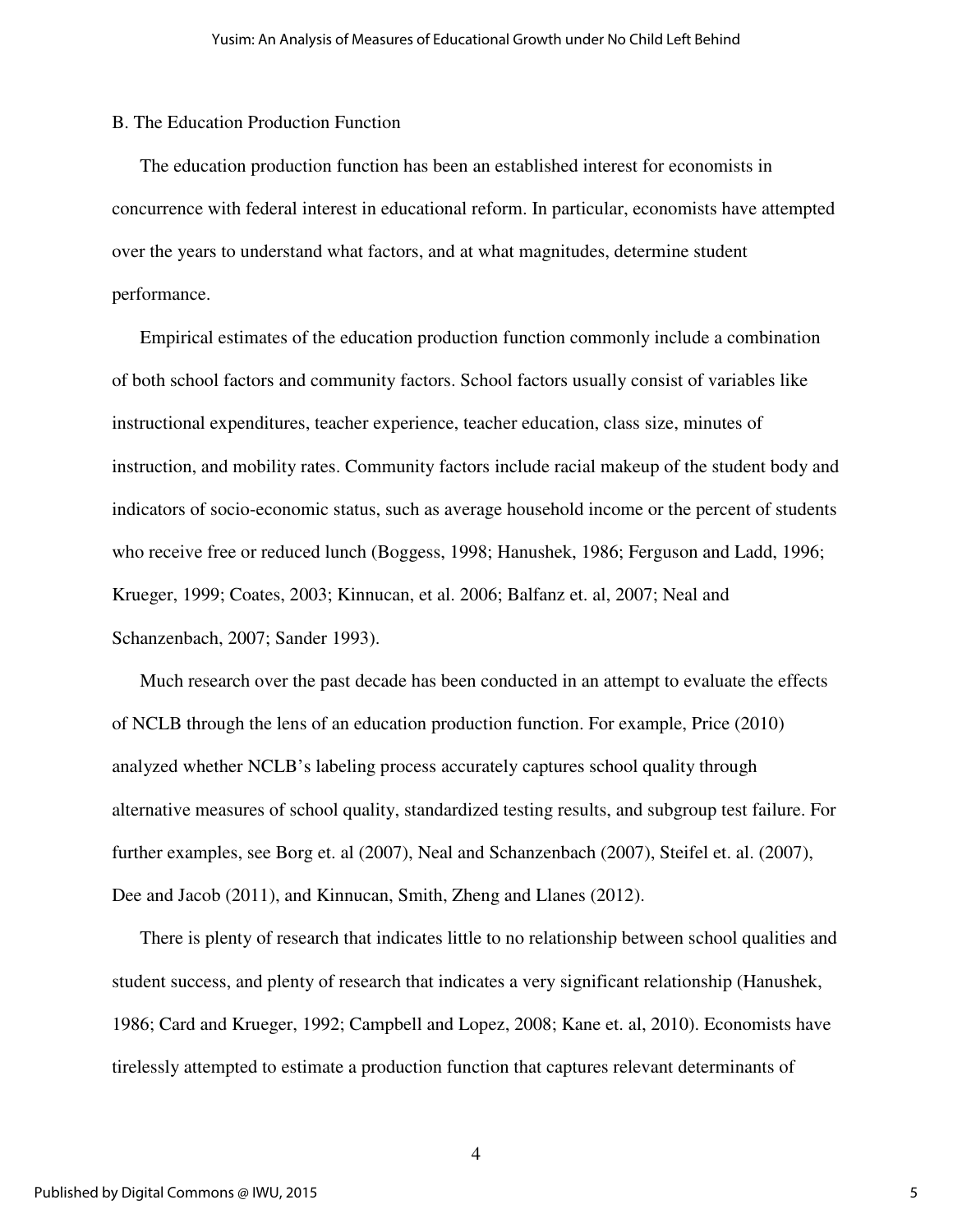#### B. The Education Production Function

The education production function has been an established interest for economists in concurrence with federal interest in educational reform. In particular, economists have attempted over the years to understand what factors, and at what magnitudes, determine student performance.

Empirical estimates of the education production function commonly include a combination of both school factors and community factors. School factors usually consist of variables like instructional expenditures, teacher experience, teacher education, class size, minutes of instruction, and mobility rates. Community factors include racial makeup of the student body and indicators of socio-economic status, such as average household income or the percent of students who receive free or reduced lunch (Boggess, 1998; Hanushek, 1986; Ferguson and Ladd, 1996; Krueger, 1999; Coates, 2003; Kinnucan, et al. 2006; Balfanz et. al, 2007; Neal and Schanzenbach, 2007; Sander 1993).

Much research over the past decade has been conducted in an attempt to evaluate the effects of NCLB through the lens of an education production function. For example, Price (2010) analyzed whether NCLB's labeling process accurately captures school quality through alternative measures of school quality, standardized testing results, and subgroup test failure. For further examples, see Borg et. al (2007), Neal and Schanzenbach (2007), Steifel et. al. (2007), Dee and Jacob (2011), and Kinnucan, Smith, Zheng and Llanes (2012).

There is plenty of research that indicates little to no relationship between school qualities and student success, and plenty of research that indicates a very significant relationship (Hanushek, 1986; Card and Krueger, 1992; Campbell and Lopez, 2008; Kane et. al, 2010). Economists have tirelessly attempted to estimate a production function that captures relevant determinants of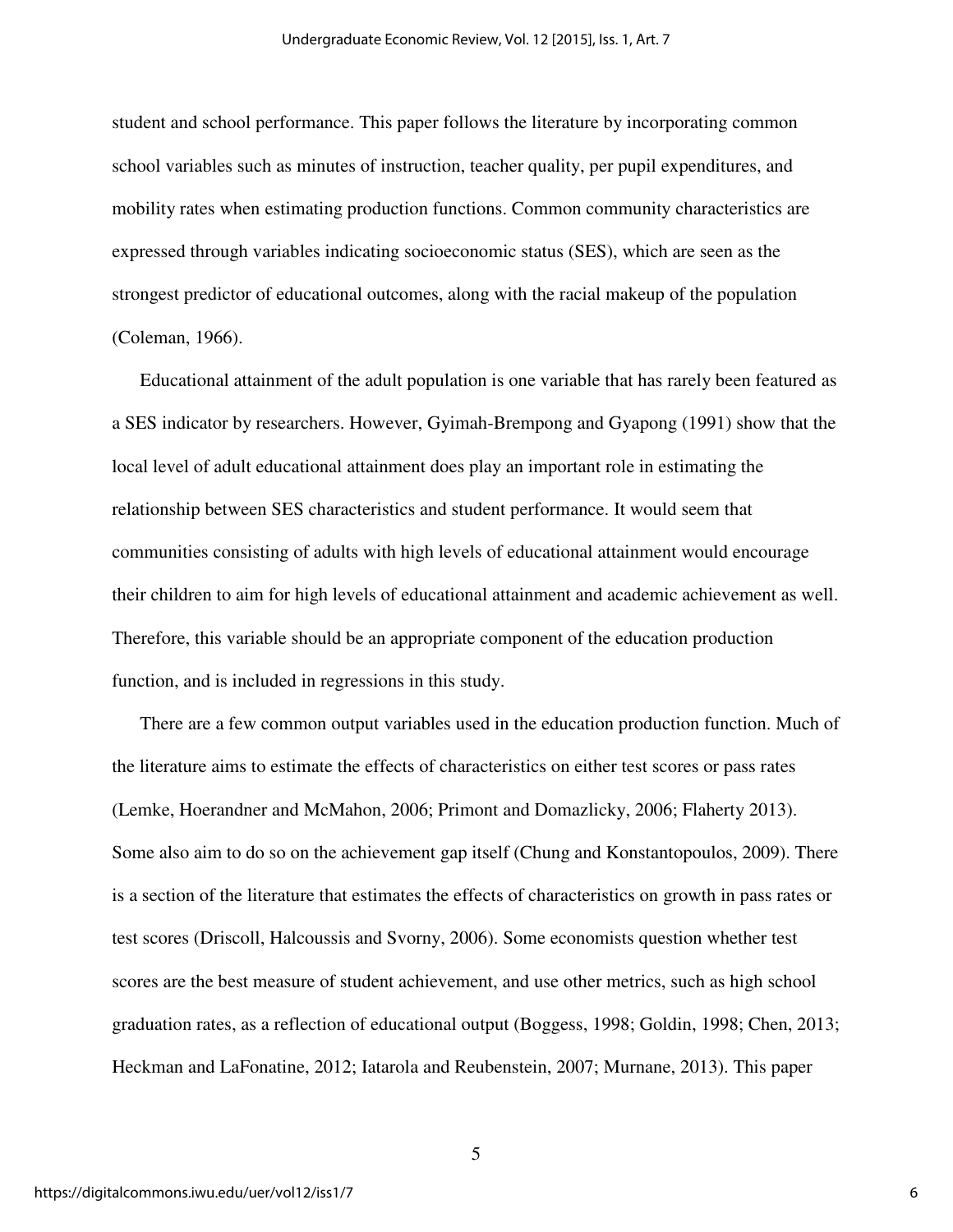student and school performance. This paper follows the literature by incorporating common school variables such as minutes of instruction, teacher quality, per pupil expenditures, and mobility rates when estimating production functions. Common community characteristics are expressed through variables indicating socioeconomic status (SES), which are seen as the strongest predictor of educational outcomes, along with the racial makeup of the population (Coleman, 1966).

Educational attainment of the adult population is one variable that has rarely been featured as a SES indicator by researchers. However, Gyimah-Brempong and Gyapong (1991) show that the local level of adult educational attainment does play an important role in estimating the relationship between SES characteristics and student performance. It would seem that communities consisting of adults with high levels of educational attainment would encourage their children to aim for high levels of educational attainment and academic achievement as well. Therefore, this variable should be an appropriate component of the education production function, and is included in regressions in this study.

There are a few common output variables used in the education production function. Much of the literature aims to estimate the effects of characteristics on either test scores or pass rates (Lemke, Hoerandner and McMahon, 2006; Primont and Domazlicky, 2006; Flaherty 2013). Some also aim to do so on the achievement gap itself (Chung and Konstantopoulos, 2009). There is a section of the literature that estimates the effects of characteristics on growth in pass rates or test scores (Driscoll, Halcoussis and Svorny, 2006). Some economists question whether test scores are the best measure of student achievement, and use other metrics, such as high school graduation rates, as a reflection of educational output (Boggess, 1998; Goldin, 1998; Chen, 2013; Heckman and LaFonatine, 2012; Iatarola and Reubenstein, 2007; Murnane, 2013). This paper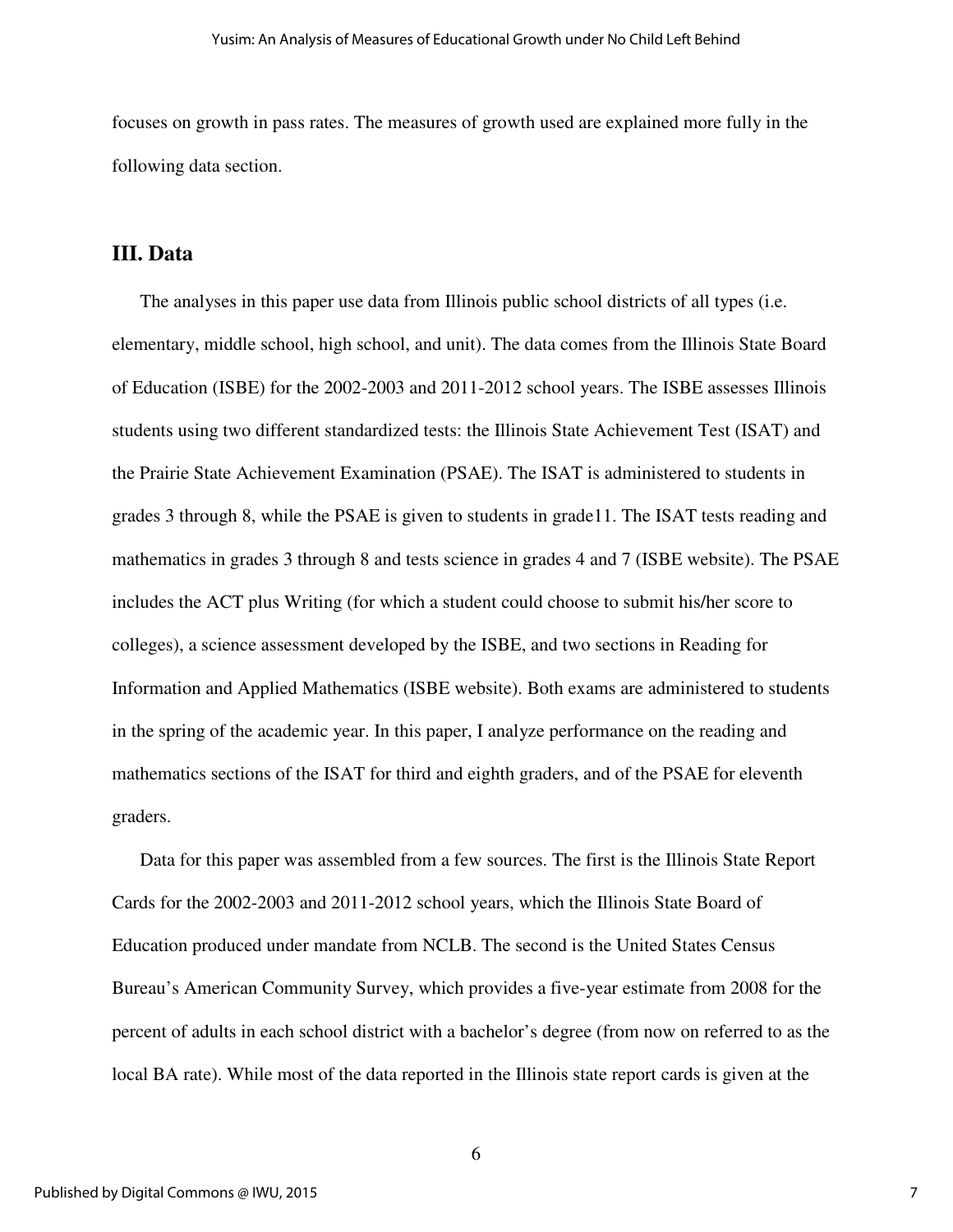focuses on growth in pass rates. The measures of growth used are explained more fully in the following data section.

### **III. Data**

The analyses in this paper use data from Illinois public school districts of all types (i.e. elementary, middle school, high school, and unit). The data comes from the Illinois State Board of Education (ISBE) for the 2002-2003 and 2011-2012 school years. The ISBE assesses Illinois students using two different standardized tests: the Illinois State Achievement Test (ISAT) and the Prairie State Achievement Examination (PSAE). The ISAT is administered to students in grades 3 through 8, while the PSAE is given to students in grade11. The ISAT tests reading and mathematics in grades 3 through 8 and tests science in grades 4 and 7 (ISBE website). The PSAE includes the ACT plus Writing (for which a student could choose to submit his/her score to colleges), a science assessment developed by the ISBE, and two sections in Reading for Information and Applied Mathematics (ISBE website). Both exams are administered to students in the spring of the academic year. In this paper, I analyze performance on the reading and mathematics sections of the ISAT for third and eighth graders, and of the PSAE for eleventh graders.

Data for this paper was assembled from a few sources. The first is the Illinois State Report Cards for the 2002-2003 and 2011-2012 school years, which the Illinois State Board of Education produced under mandate from NCLB. The second is the United States Census Bureau's American Community Survey, which provides a five-year estimate from 2008 for the percent of adults in each school district with a bachelor's degree (from now on referred to as the local BA rate). While most of the data reported in the Illinois state report cards is given at the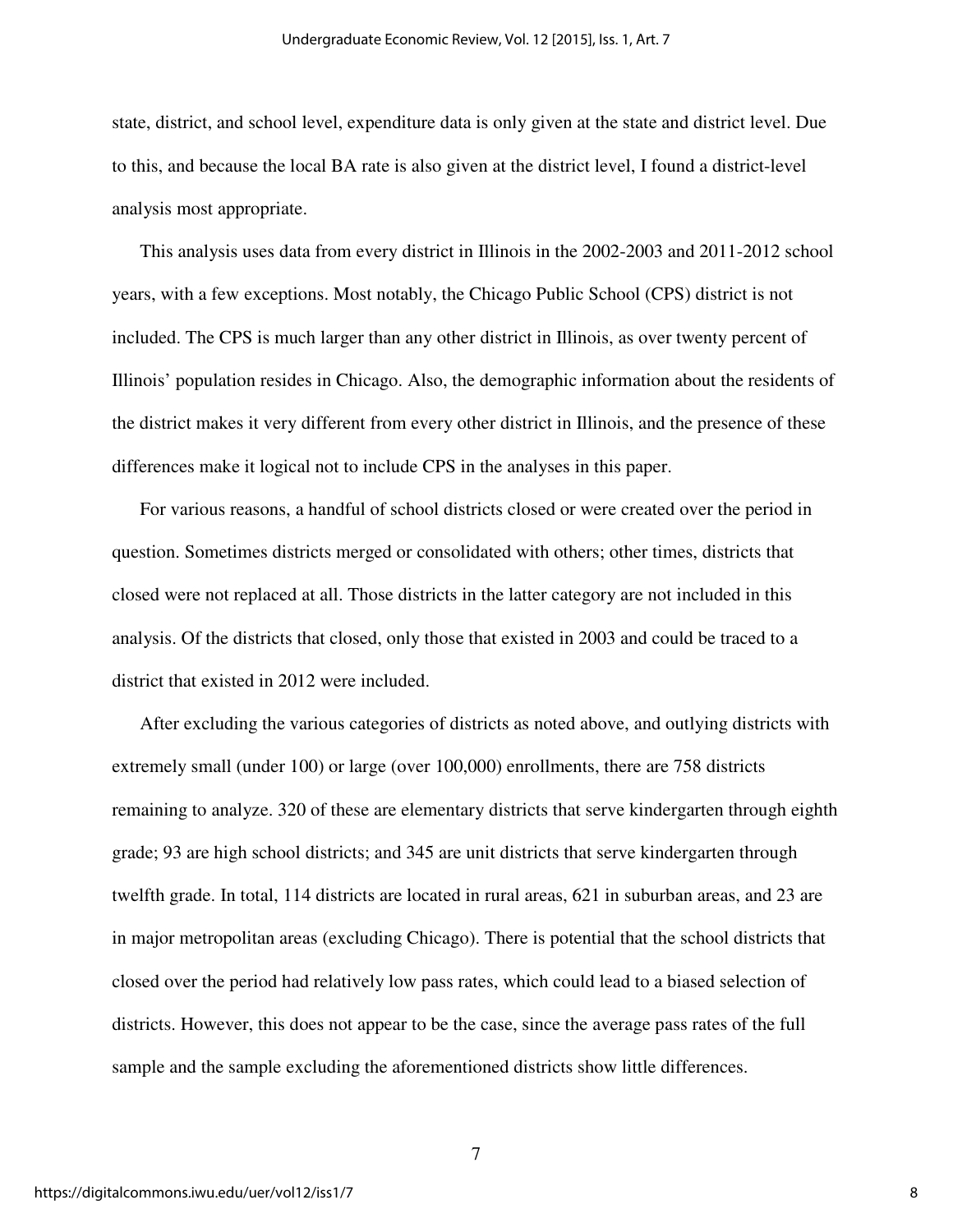state, district, and school level, expenditure data is only given at the state and district level. Due to this, and because the local BA rate is also given at the district level, I found a district-level analysis most appropriate.

This analysis uses data from every district in Illinois in the 2002-2003 and 2011-2012 school years, with a few exceptions. Most notably, the Chicago Public School (CPS) district is not included. The CPS is much larger than any other district in Illinois, as over twenty percent of Illinois' population resides in Chicago. Also, the demographic information about the residents of the district makes it very different from every other district in Illinois, and the presence of these differences make it logical not to include CPS in the analyses in this paper.

For various reasons, a handful of school districts closed or were created over the period in question. Sometimes districts merged or consolidated with others; other times, districts that closed were not replaced at all. Those districts in the latter category are not included in this analysis. Of the districts that closed, only those that existed in 2003 and could be traced to a district that existed in 2012 were included.

After excluding the various categories of districts as noted above, and outlying districts with extremely small (under 100) or large (over 100,000) enrollments, there are 758 districts remaining to analyze. 320 of these are elementary districts that serve kindergarten through eighth grade; 93 are high school districts; and 345 are unit districts that serve kindergarten through twelfth grade. In total, 114 districts are located in rural areas, 621 in suburban areas, and 23 are in major metropolitan areas (excluding Chicago). There is potential that the school districts that closed over the period had relatively low pass rates, which could lead to a biased selection of districts. However, this does not appear to be the case, since the average pass rates of the full sample and the sample excluding the aforementioned districts show little differences.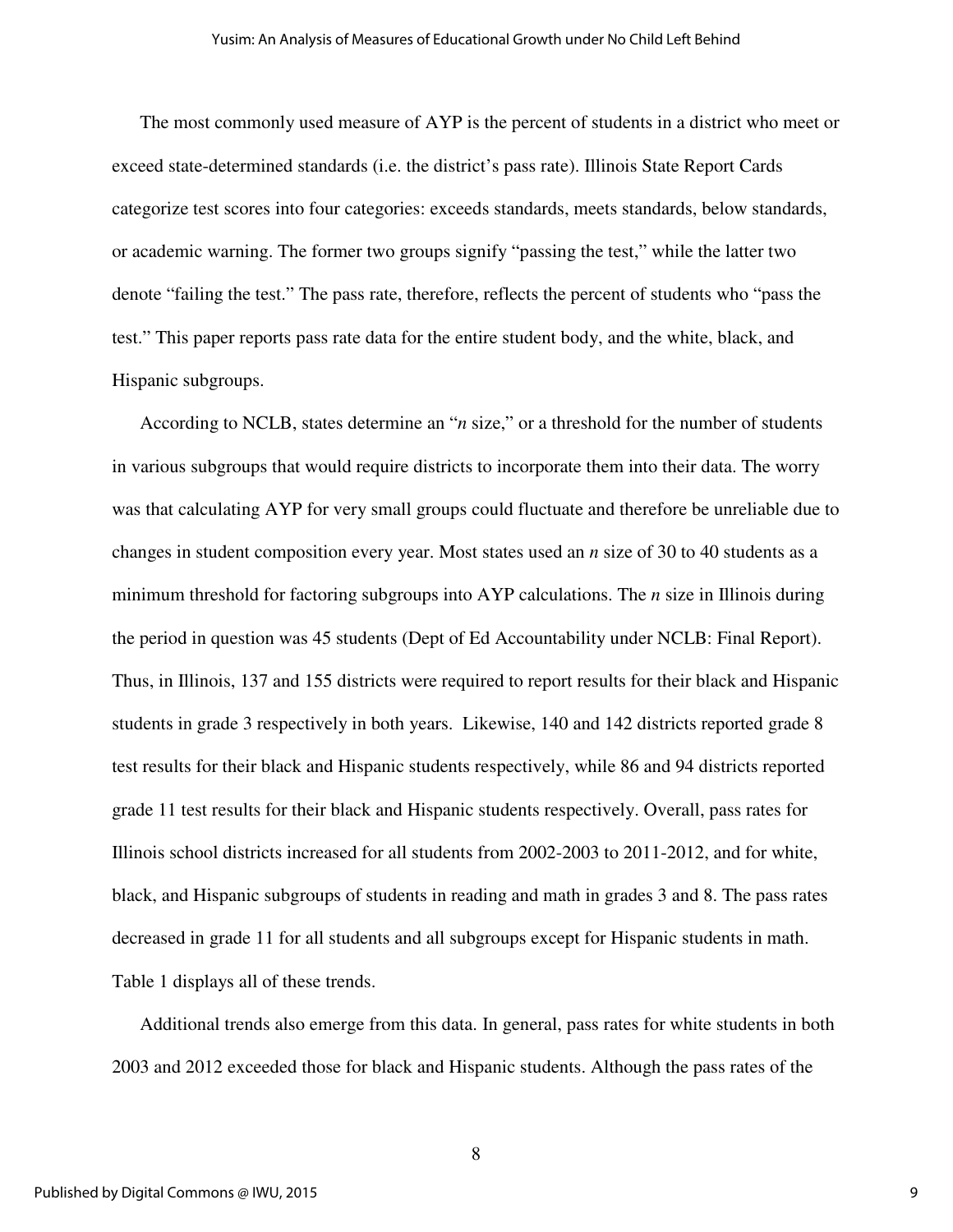The most commonly used measure of AYP is the percent of students in a district who meet or exceed state-determined standards (i.e. the district's pass rate). Illinois State Report Cards categorize test scores into four categories: exceeds standards, meets standards, below standards, or academic warning. The former two groups signify "passing the test," while the latter two denote "failing the test." The pass rate, therefore, reflects the percent of students who "pass the test." This paper reports pass rate data for the entire student body, and the white, black, and Hispanic subgroups.

According to NCLB, states determine an "*n* size," or a threshold for the number of students in various subgroups that would require districts to incorporate them into their data. The worry was that calculating AYP for very small groups could fluctuate and therefore be unreliable due to changes in student composition every year. Most states used an *n* size of 30 to 40 students as a minimum threshold for factoring subgroups into AYP calculations. The *n* size in Illinois during the period in question was 45 students (Dept of Ed Accountability under NCLB: Final Report). Thus, in Illinois, 137 and 155 districts were required to report results for their black and Hispanic students in grade 3 respectively in both years. Likewise, 140 and 142 districts reported grade 8 test results for their black and Hispanic students respectively, while 86 and 94 districts reported grade 11 test results for their black and Hispanic students respectively. Overall, pass rates for Illinois school districts increased for all students from 2002-2003 to 2011-2012, and for white, black, and Hispanic subgroups of students in reading and math in grades 3 and 8. The pass rates decreased in grade 11 for all students and all subgroups except for Hispanic students in math. Table 1 displays all of these trends.

Additional trends also emerge from this data. In general, pass rates for white students in both 2003 and 2012 exceeded those for black and Hispanic students. Although the pass rates of the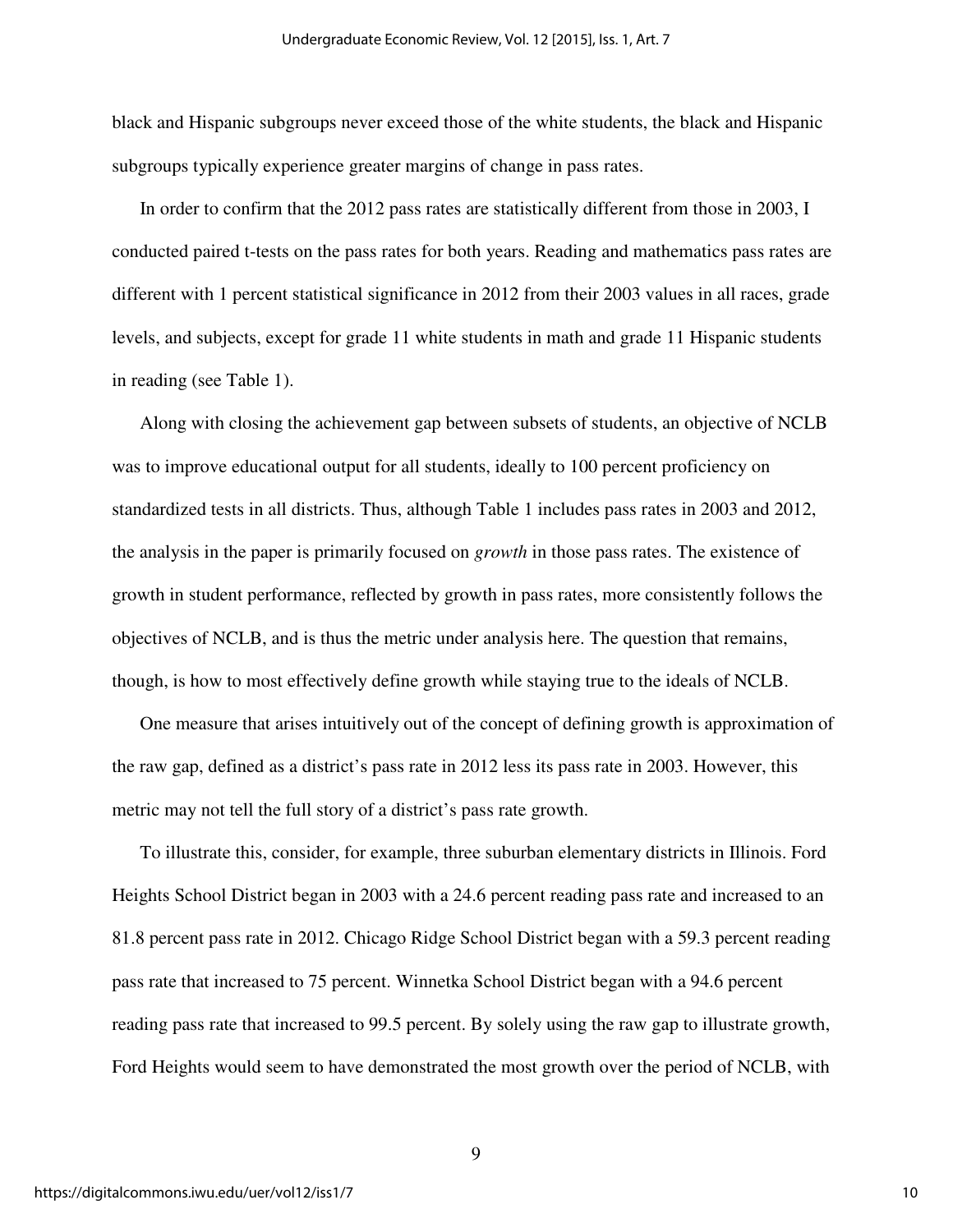black and Hispanic subgroups never exceed those of the white students, the black and Hispanic subgroups typically experience greater margins of change in pass rates.

In order to confirm that the 2012 pass rates are statistically different from those in 2003, I conducted paired t-tests on the pass rates for both years. Reading and mathematics pass rates are different with 1 percent statistical significance in 2012 from their 2003 values in all races, grade levels, and subjects, except for grade 11 white students in math and grade 11 Hispanic students in reading (see Table 1).

Along with closing the achievement gap between subsets of students, an objective of NCLB was to improve educational output for all students, ideally to 100 percent proficiency on standardized tests in all districts. Thus, although Table 1 includes pass rates in 2003 and 2012, the analysis in the paper is primarily focused on *growth* in those pass rates. The existence of growth in student performance, reflected by growth in pass rates, more consistently follows the objectives of NCLB, and is thus the metric under analysis here. The question that remains, though, is how to most effectively define growth while staying true to the ideals of NCLB.

One measure that arises intuitively out of the concept of defining growth is approximation of the raw gap, defined as a district's pass rate in 2012 less its pass rate in 2003. However, this metric may not tell the full story of a district's pass rate growth.

To illustrate this, consider, for example, three suburban elementary districts in Illinois. Ford Heights School District began in 2003 with a 24.6 percent reading pass rate and increased to an 81.8 percent pass rate in 2012. Chicago Ridge School District began with a 59.3 percent reading pass rate that increased to 75 percent. Winnetka School District began with a 94.6 percent reading pass rate that increased to 99.5 percent. By solely using the raw gap to illustrate growth, Ford Heights would seem to have demonstrated the most growth over the period of NCLB, with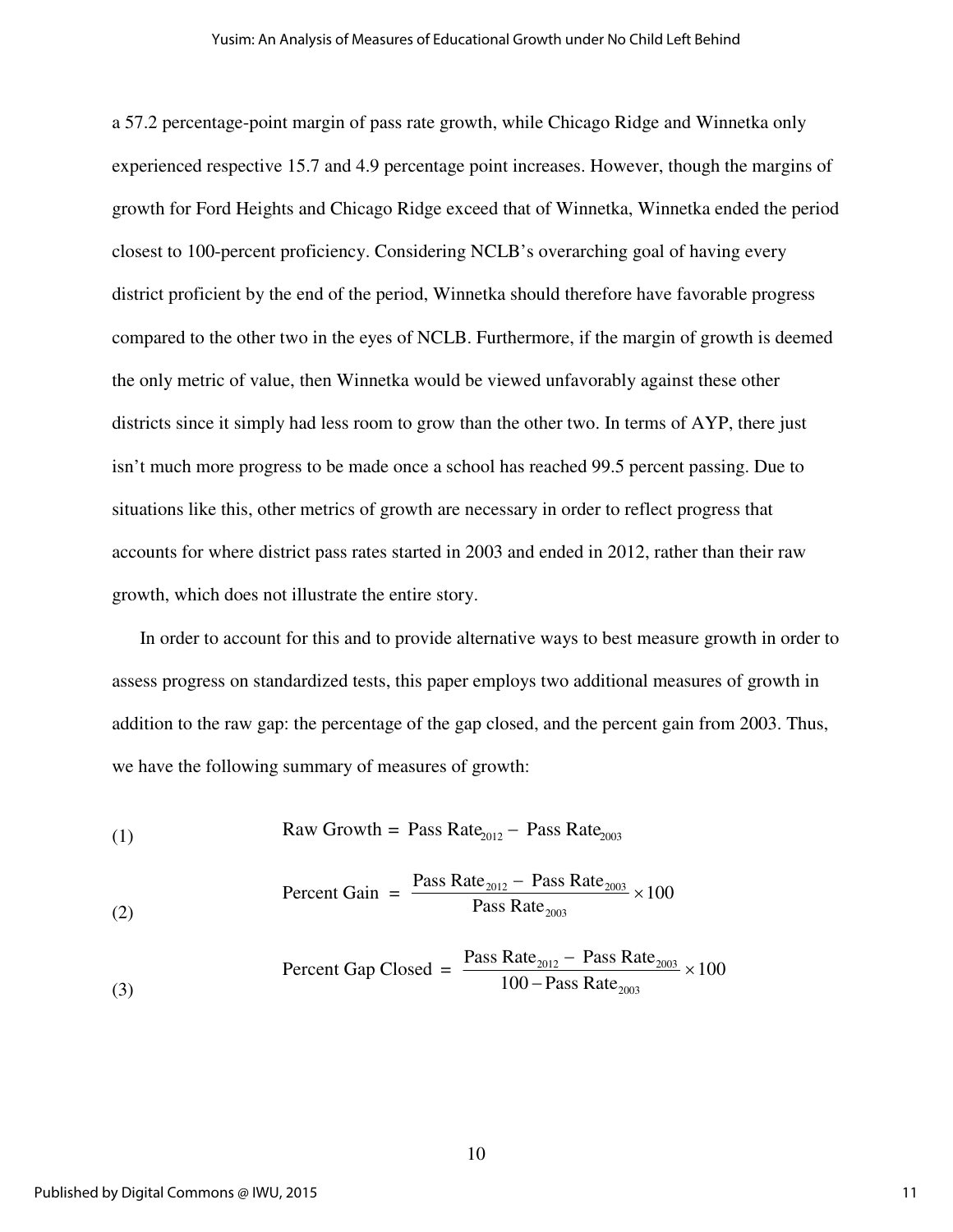a 57.2 percentage-point margin of pass rate growth, while Chicago Ridge and Winnetka only experienced respective 15.7 and 4.9 percentage point increases. However, though the margins of growth for Ford Heights and Chicago Ridge exceed that of Winnetka, Winnetka ended the period closest to 100-percent proficiency. Considering NCLB's overarching goal of having every district proficient by the end of the period, Winnetka should therefore have favorable progress compared to the other two in the eyes of NCLB. Furthermore, if the margin of growth is deemed the only metric of value, then Winnetka would be viewed unfavorably against these other districts since it simply had less room to grow than the other two. In terms of AYP, there just isn't much more progress to be made once a school has reached 99.5 percent passing. Due to situations like this, other metrics of growth are necessary in order to reflect progress that accounts for where district pass rates started in 2003 and ended in 2012, rather than their raw growth, which does not illustrate the entire story.

In order to account for this and to provide alternative ways to best measure growth in order to assess progress on standardized tests, this paper employs two additional measures of growth in addition to the raw gap: the percentage of the gap closed, and the percent gain from 2003. Thus, we have the following summary of measures of growth:

(1) Raw Growth = Pass Rate<sup>2012</sup> − Pass Rate<sup>2003</sup>

$$
100
$$
 
$$
Percent Gain = \frac{Pass Rate_{2012} - Pass Rate_{2003}}{Pass Rate_{2003}} \times 100
$$

$$
(\text{3}) \qquad \qquad \text{Percent Gap Closed} = \frac{\text{Pass Rate}_{2012} - \text{Pass Rate}_{2003}}{100 - \text{Pass Rate}_{2003}} \times 100
$$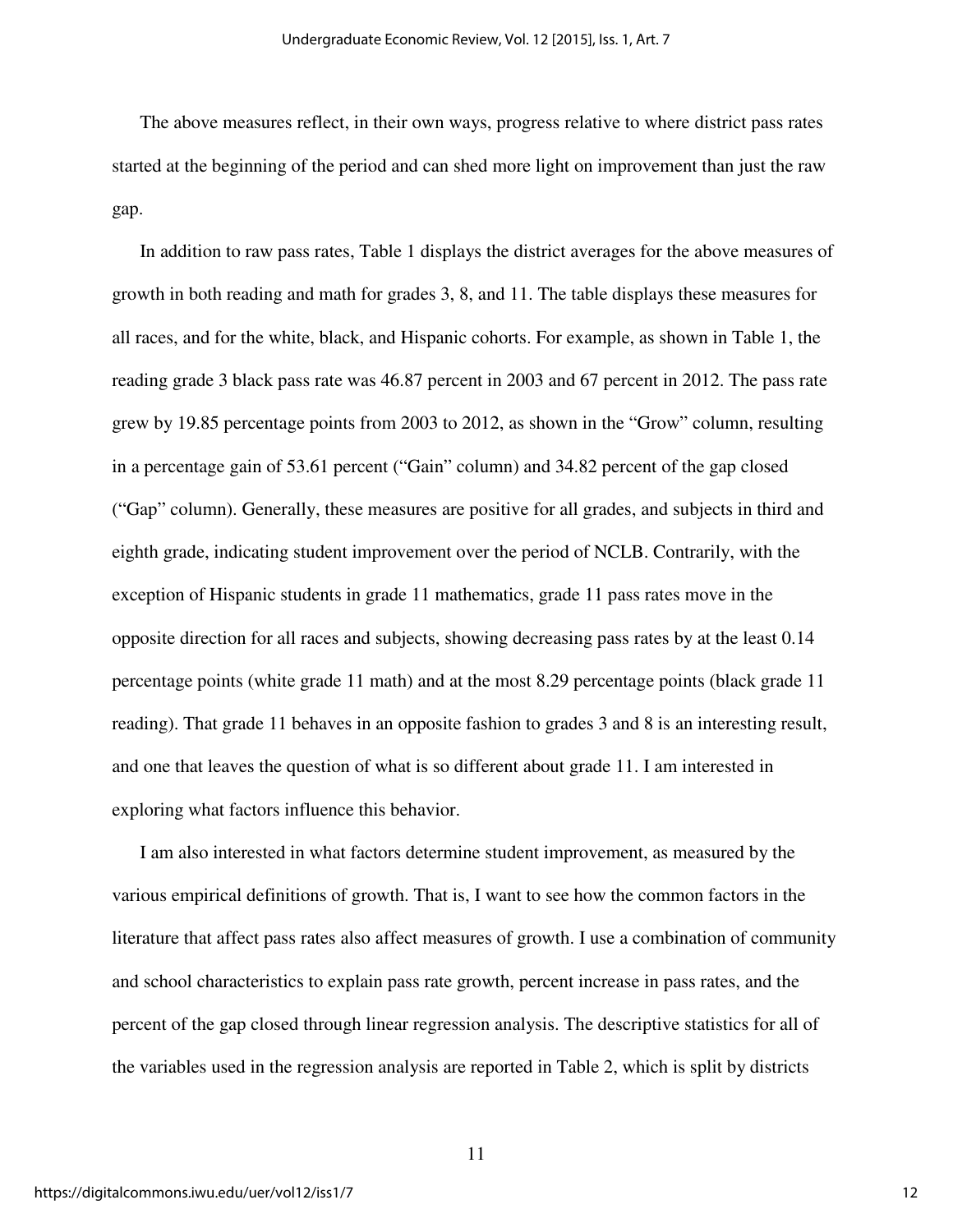The above measures reflect, in their own ways, progress relative to where district pass rates started at the beginning of the period and can shed more light on improvement than just the raw gap.

In addition to raw pass rates, Table 1 displays the district averages for the above measures of growth in both reading and math for grades 3, 8, and 11. The table displays these measures for all races, and for the white, black, and Hispanic cohorts. For example, as shown in Table 1, the reading grade 3 black pass rate was 46.87 percent in 2003 and 67 percent in 2012. The pass rate grew by 19.85 percentage points from 2003 to 2012, as shown in the "Grow" column, resulting in a percentage gain of 53.61 percent ("Gain" column) and 34.82 percent of the gap closed ("Gap" column). Generally, these measures are positive for all grades, and subjects in third and eighth grade, indicating student improvement over the period of NCLB. Contrarily, with the exception of Hispanic students in grade 11 mathematics, grade 11 pass rates move in the opposite direction for all races and subjects, showing decreasing pass rates by at the least 0.14 percentage points (white grade 11 math) and at the most 8.29 percentage points (black grade 11 reading). That grade 11 behaves in an opposite fashion to grades 3 and 8 is an interesting result, and one that leaves the question of what is so different about grade 11. I am interested in exploring what factors influence this behavior.

I am also interested in what factors determine student improvement, as measured by the various empirical definitions of growth. That is, I want to see how the common factors in the literature that affect pass rates also affect measures of growth. I use a combination of community and school characteristics to explain pass rate growth, percent increase in pass rates, and the percent of the gap closed through linear regression analysis. The descriptive statistics for all of the variables used in the regression analysis are reported in Table 2, which is split by districts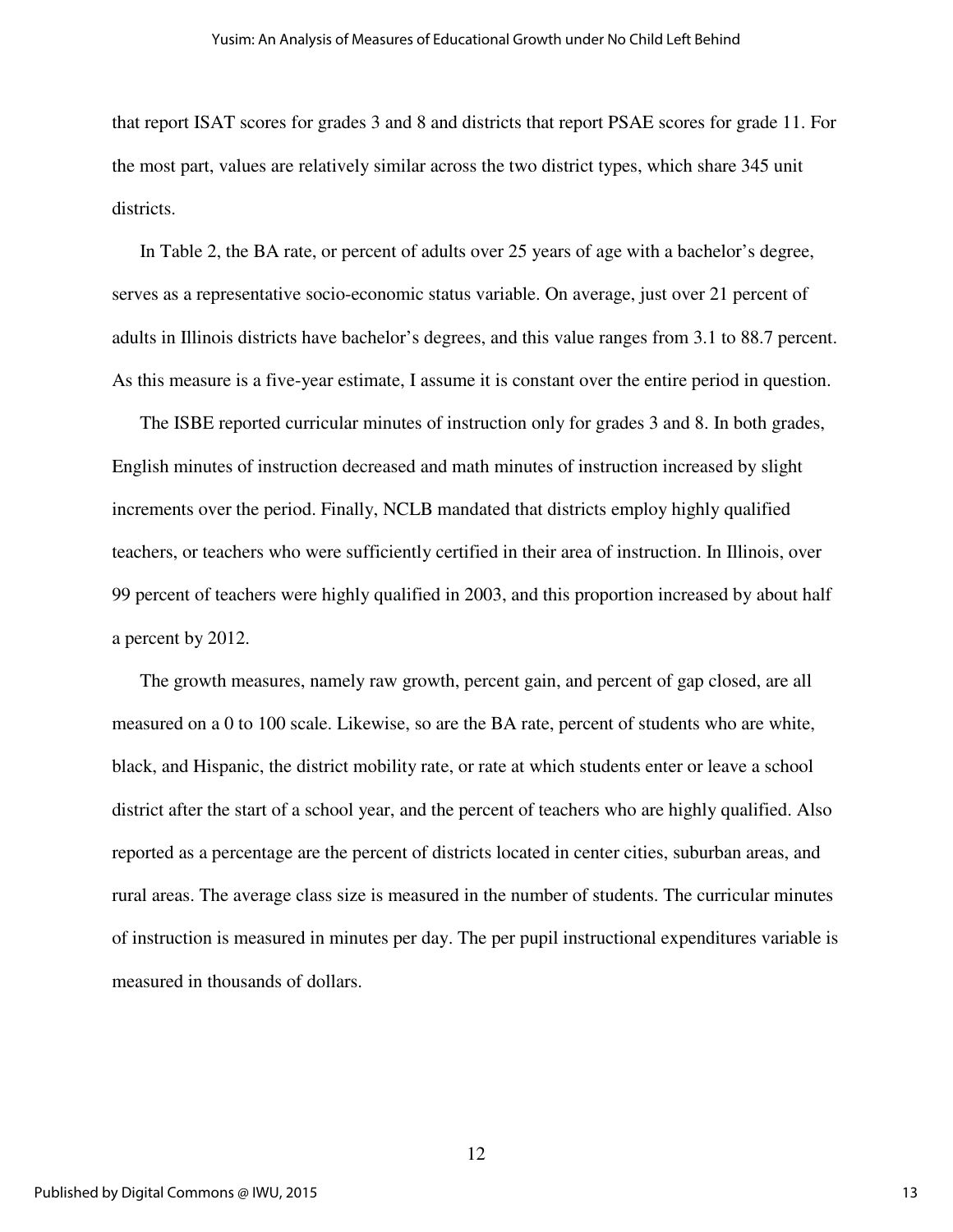that report ISAT scores for grades 3 and 8 and districts that report PSAE scores for grade 11. For the most part, values are relatively similar across the two district types, which share 345 unit districts.

In Table 2, the BA rate, or percent of adults over 25 years of age with a bachelor's degree, serves as a representative socio-economic status variable. On average, just over 21 percent of adults in Illinois districts have bachelor's degrees, and this value ranges from 3.1 to 88.7 percent. As this measure is a five-year estimate, I assume it is constant over the entire period in question.

The ISBE reported curricular minutes of instruction only for grades 3 and 8. In both grades, English minutes of instruction decreased and math minutes of instruction increased by slight increments over the period. Finally, NCLB mandated that districts employ highly qualified teachers, or teachers who were sufficiently certified in their area of instruction. In Illinois, over 99 percent of teachers were highly qualified in 2003, and this proportion increased by about half a percent by 2012.

The growth measures, namely raw growth, percent gain, and percent of gap closed, are all measured on a 0 to 100 scale. Likewise, so are the BA rate, percent of students who are white, black, and Hispanic, the district mobility rate, or rate at which students enter or leave a school district after the start of a school year, and the percent of teachers who are highly qualified. Also reported as a percentage are the percent of districts located in center cities, suburban areas, and rural areas. The average class size is measured in the number of students. The curricular minutes of instruction is measured in minutes per day. The per pupil instructional expenditures variable is measured in thousands of dollars.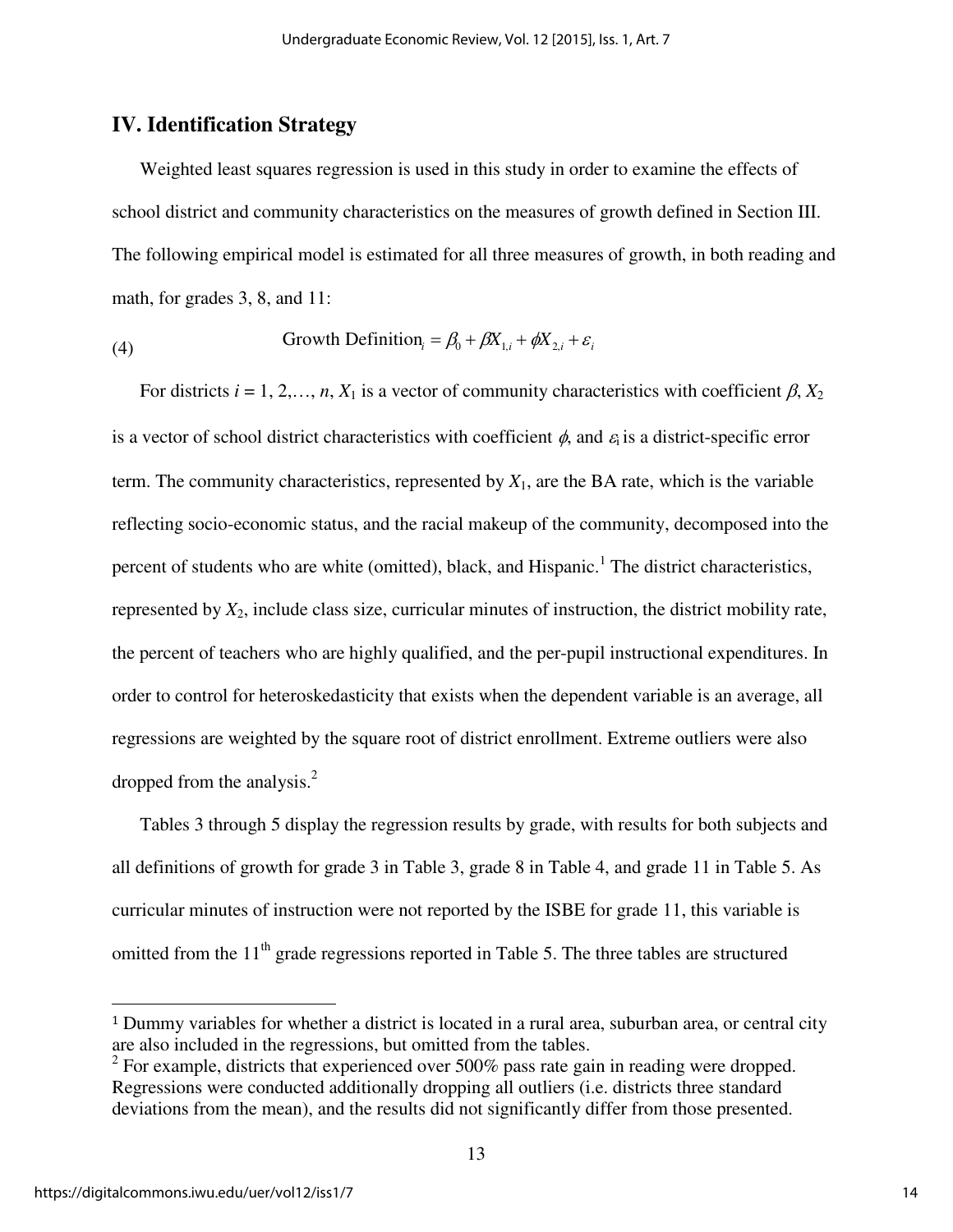### **IV. Identification Strategy**

Weighted least squares regression is used in this study in order to examine the effects of school district and community characteristics on the measures of growth defined in Section III. The following empirical model is estimated for all three measures of growth, in both reading and math, for grades 3, 8, and 11:

(4) Growth Definition<sub>i</sub> = 
$$
\beta_0 + \beta X_{1,i} + \phi X_{2,i} + \varepsilon_i
$$

For districts  $i = 1, 2, \ldots, n$ ,  $X_1$  is a vector of community characteristics with coefficient  $\beta$ ,  $X_2$ is a vector of school district characteristics with coefficient  $\phi$ , and  $\varepsilon$  is a district-specific error term. The community characteristics, represented by  $X_1$ , are the BA rate, which is the variable reflecting socio-economic status, and the racial makeup of the community, decomposed into the percent of students who are white (omitted), black, and Hispanic.<sup>1</sup> The district characteristics, represented by *X*2, include class size, curricular minutes of instruction, the district mobility rate, the percent of teachers who are highly qualified, and the per-pupil instructional expenditures. In order to control for heteroskedasticity that exists when the dependent variable is an average, all regressions are weighted by the square root of district enrollment. Extreme outliers were also dropped from the analysis.<sup>2</sup>

Tables 3 through 5 display the regression results by grade, with results for both subjects and all definitions of growth for grade 3 in Table 3, grade 8 in Table 4, and grade 11 in Table 5. As curricular minutes of instruction were not reported by the ISBE for grade 11, this variable is omitted from the  $11<sup>th</sup>$  grade regressions reported in Table 5. The three tables are structured

 $\overline{a}$ 

<sup>1</sup> Dummy variables for whether a district is located in a rural area, suburban area, or central city are also included in the regressions, but omitted from the tables.

 $2^2$  For example, districts that experienced over 500% pass rate gain in reading were dropped. Regressions were conducted additionally dropping all outliers (i.e. districts three standard deviations from the mean), and the results did not significantly differ from those presented.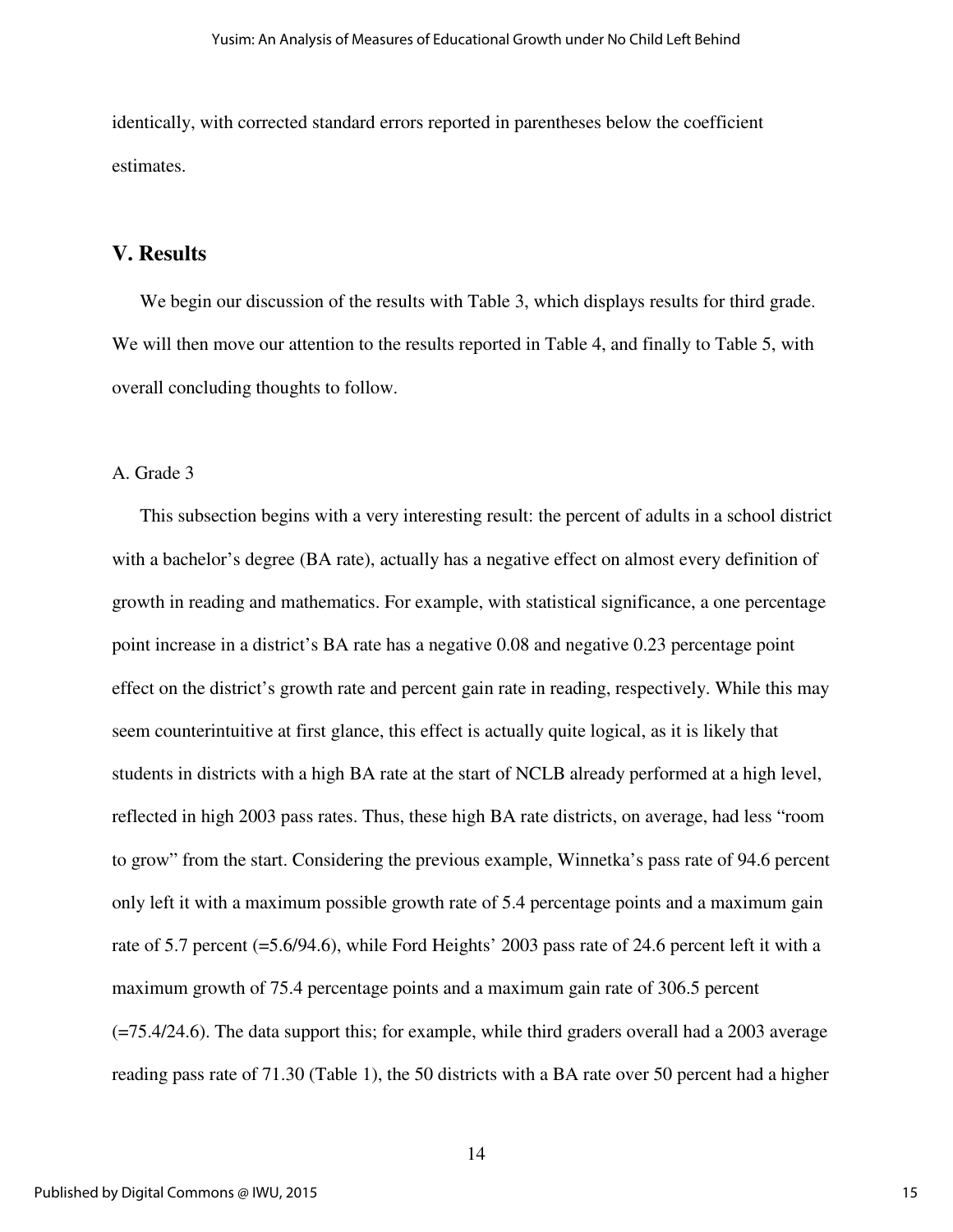identically, with corrected standard errors reported in parentheses below the coefficient estimates.

#### **V. Results**

We begin our discussion of the results with Table 3, which displays results for third grade. We will then move our attention to the results reported in Table 4, and finally to Table 5, with overall concluding thoughts to follow.

#### A. Grade 3

This subsection begins with a very interesting result: the percent of adults in a school district with a bachelor's degree (BA rate), actually has a negative effect on almost every definition of growth in reading and mathematics. For example, with statistical significance, a one percentage point increase in a district's BA rate has a negative 0.08 and negative 0.23 percentage point effect on the district's growth rate and percent gain rate in reading, respectively. While this may seem counterintuitive at first glance, this effect is actually quite logical, as it is likely that students in districts with a high BA rate at the start of NCLB already performed at a high level, reflected in high 2003 pass rates. Thus, these high BA rate districts, on average, had less "room to grow" from the start. Considering the previous example, Winnetka's pass rate of 94.6 percent only left it with a maximum possible growth rate of 5.4 percentage points and a maximum gain rate of 5.7 percent (=5.6/94.6), while Ford Heights' 2003 pass rate of 24.6 percent left it with a maximum growth of 75.4 percentage points and a maximum gain rate of 306.5 percent (=75.4/24.6). The data support this; for example, while third graders overall had a 2003 average reading pass rate of 71.30 (Table 1), the 50 districts with a BA rate over 50 percent had a higher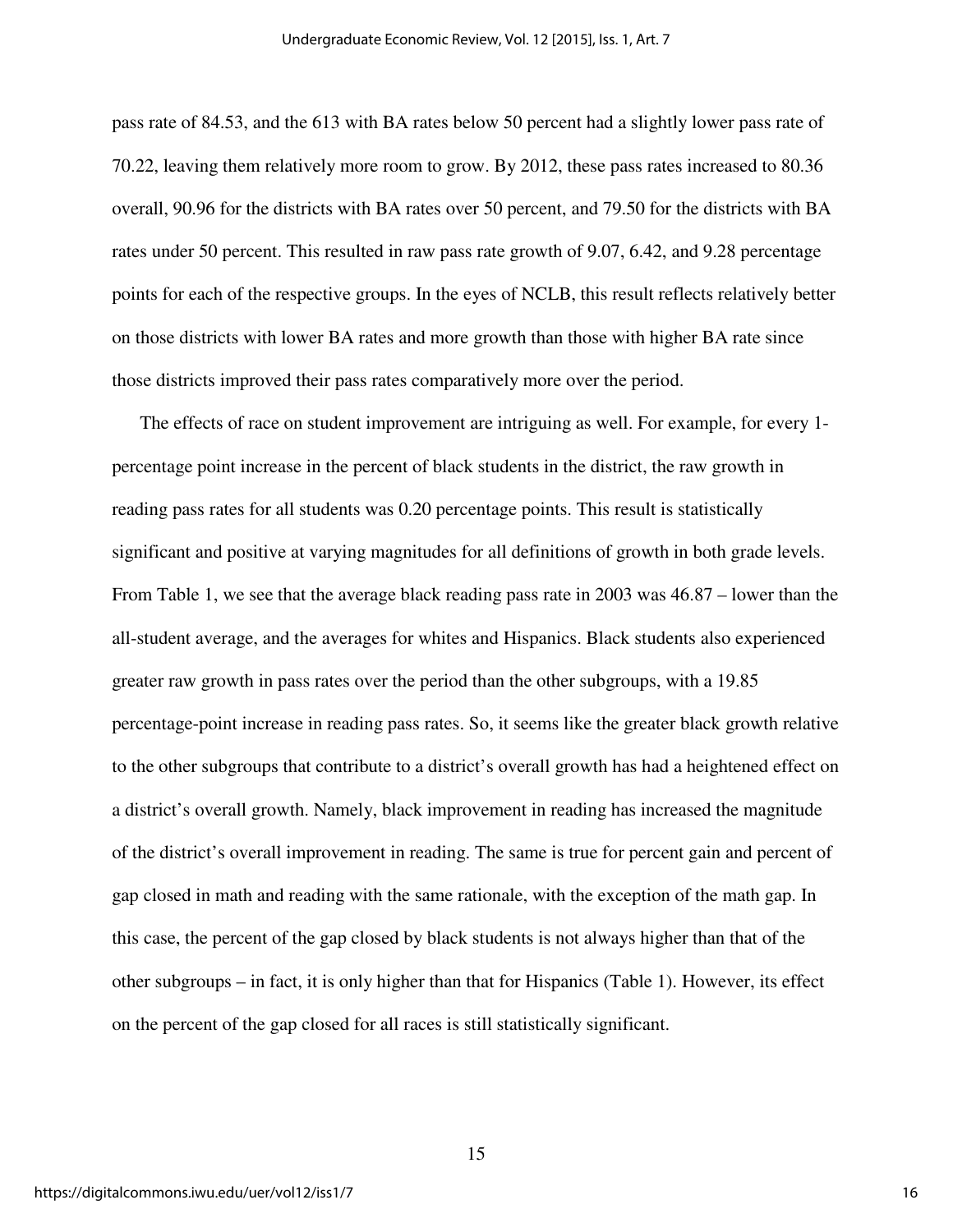pass rate of 84.53, and the 613 with BA rates below 50 percent had a slightly lower pass rate of 70.22, leaving them relatively more room to grow. By 2012, these pass rates increased to 80.36 overall, 90.96 for the districts with BA rates over 50 percent, and 79.50 for the districts with BA rates under 50 percent. This resulted in raw pass rate growth of 9.07, 6.42, and 9.28 percentage points for each of the respective groups. In the eyes of NCLB, this result reflects relatively better on those districts with lower BA rates and more growth than those with higher BA rate since those districts improved their pass rates comparatively more over the period.

The effects of race on student improvement are intriguing as well. For example, for every 1 percentage point increase in the percent of black students in the district, the raw growth in reading pass rates for all students was 0.20 percentage points. This result is statistically significant and positive at varying magnitudes for all definitions of growth in both grade levels. From Table 1, we see that the average black reading pass rate in 2003 was 46.87 – lower than the all-student average, and the averages for whites and Hispanics. Black students also experienced greater raw growth in pass rates over the period than the other subgroups, with a 19.85 percentage-point increase in reading pass rates. So, it seems like the greater black growth relative to the other subgroups that contribute to a district's overall growth has had a heightened effect on a district's overall growth. Namely, black improvement in reading has increased the magnitude of the district's overall improvement in reading. The same is true for percent gain and percent of gap closed in math and reading with the same rationale, with the exception of the math gap. In this case, the percent of the gap closed by black students is not always higher than that of the other subgroups – in fact, it is only higher than that for Hispanics (Table 1). However, its effect on the percent of the gap closed for all races is still statistically significant.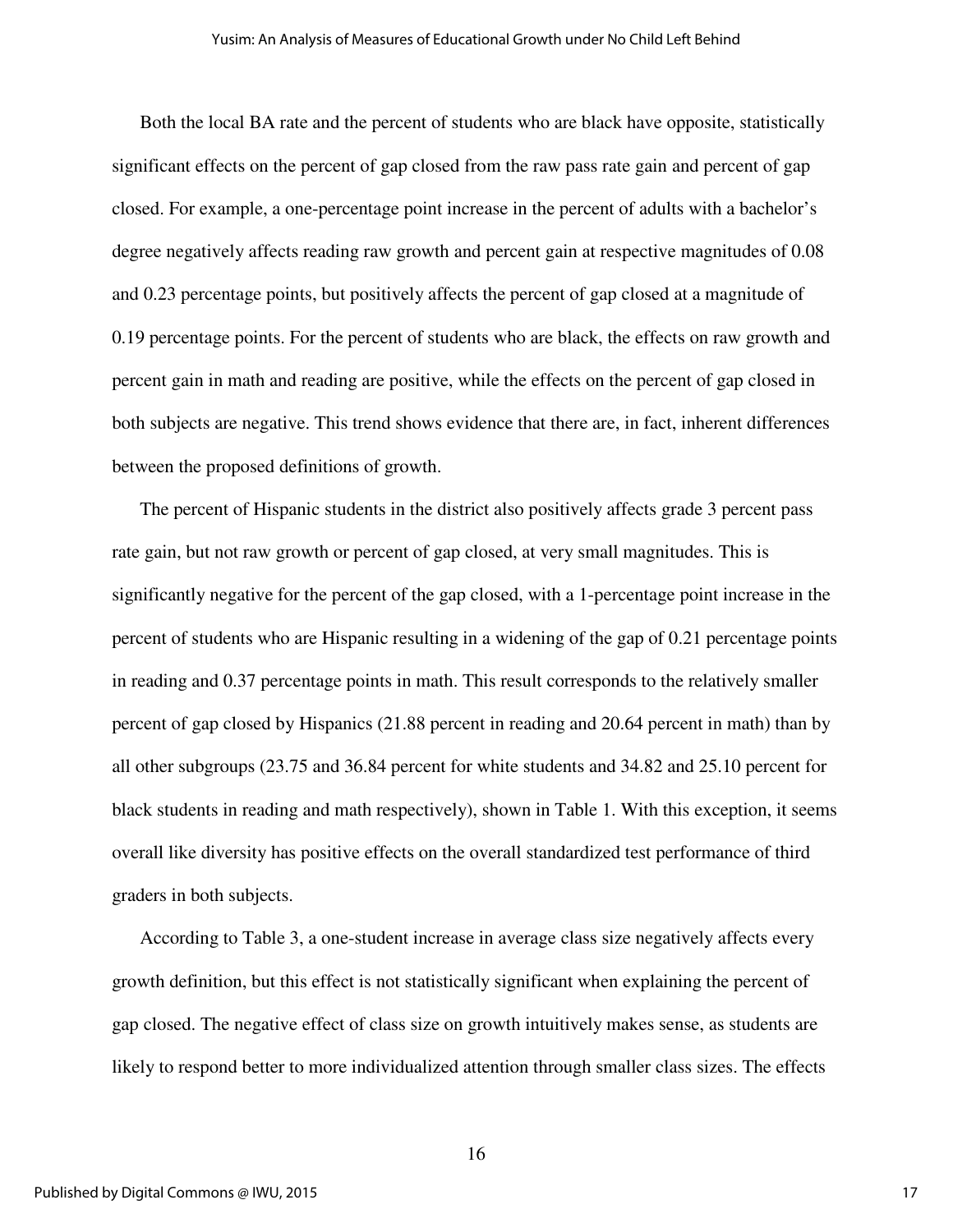Both the local BA rate and the percent of students who are black have opposite, statistically significant effects on the percent of gap closed from the raw pass rate gain and percent of gap closed. For example, a one-percentage point increase in the percent of adults with a bachelor's degree negatively affects reading raw growth and percent gain at respective magnitudes of 0.08 and 0.23 percentage points, but positively affects the percent of gap closed at a magnitude of 0.19 percentage points. For the percent of students who are black, the effects on raw growth and percent gain in math and reading are positive, while the effects on the percent of gap closed in both subjects are negative. This trend shows evidence that there are, in fact, inherent differences between the proposed definitions of growth.

The percent of Hispanic students in the district also positively affects grade 3 percent pass rate gain, but not raw growth or percent of gap closed, at very small magnitudes. This is significantly negative for the percent of the gap closed, with a 1-percentage point increase in the percent of students who are Hispanic resulting in a widening of the gap of 0.21 percentage points in reading and 0.37 percentage points in math. This result corresponds to the relatively smaller percent of gap closed by Hispanics (21.88 percent in reading and 20.64 percent in math) than by all other subgroups (23.75 and 36.84 percent for white students and 34.82 and 25.10 percent for black students in reading and math respectively), shown in Table 1. With this exception, it seems overall like diversity has positive effects on the overall standardized test performance of third graders in both subjects.

According to Table 3, a one-student increase in average class size negatively affects every growth definition, but this effect is not statistically significant when explaining the percent of gap closed. The negative effect of class size on growth intuitively makes sense, as students are likely to respond better to more individualized attention through smaller class sizes. The effects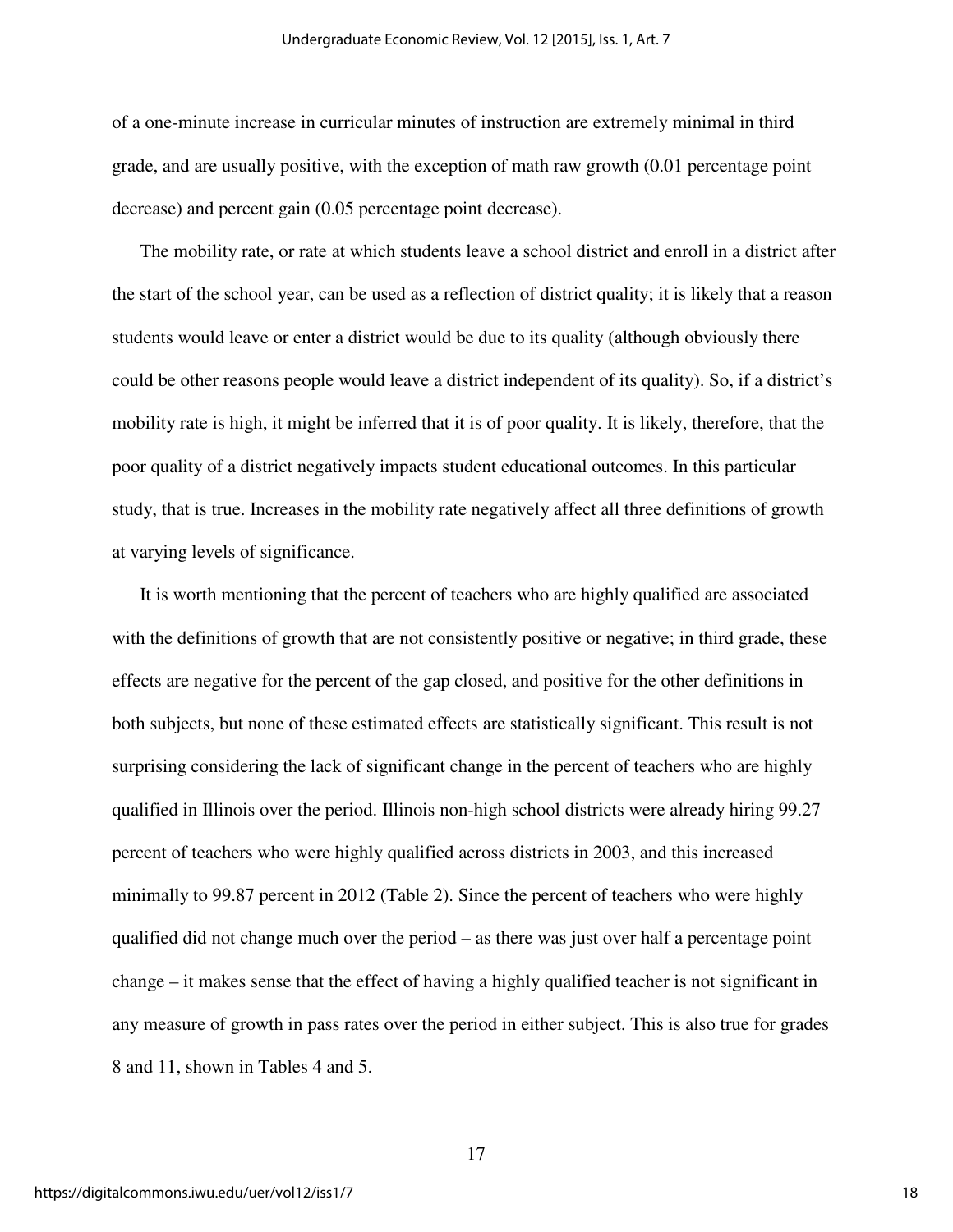of a one-minute increase in curricular minutes of instruction are extremely minimal in third grade, and are usually positive, with the exception of math raw growth (0.01 percentage point decrease) and percent gain (0.05 percentage point decrease).

The mobility rate, or rate at which students leave a school district and enroll in a district after the start of the school year, can be used as a reflection of district quality; it is likely that a reason students would leave or enter a district would be due to its quality (although obviously there could be other reasons people would leave a district independent of its quality). So, if a district's mobility rate is high, it might be inferred that it is of poor quality. It is likely, therefore, that the poor quality of a district negatively impacts student educational outcomes. In this particular study, that is true. Increases in the mobility rate negatively affect all three definitions of growth at varying levels of significance.

It is worth mentioning that the percent of teachers who are highly qualified are associated with the definitions of growth that are not consistently positive or negative; in third grade, these effects are negative for the percent of the gap closed, and positive for the other definitions in both subjects, but none of these estimated effects are statistically significant. This result is not surprising considering the lack of significant change in the percent of teachers who are highly qualified in Illinois over the period. Illinois non-high school districts were already hiring 99.27 percent of teachers who were highly qualified across districts in 2003, and this increased minimally to 99.87 percent in 2012 (Table 2). Since the percent of teachers who were highly qualified did not change much over the period – as there was just over half a percentage point change – it makes sense that the effect of having a highly qualified teacher is not significant in any measure of growth in pass rates over the period in either subject. This is also true for grades 8 and 11, shown in Tables 4 and 5.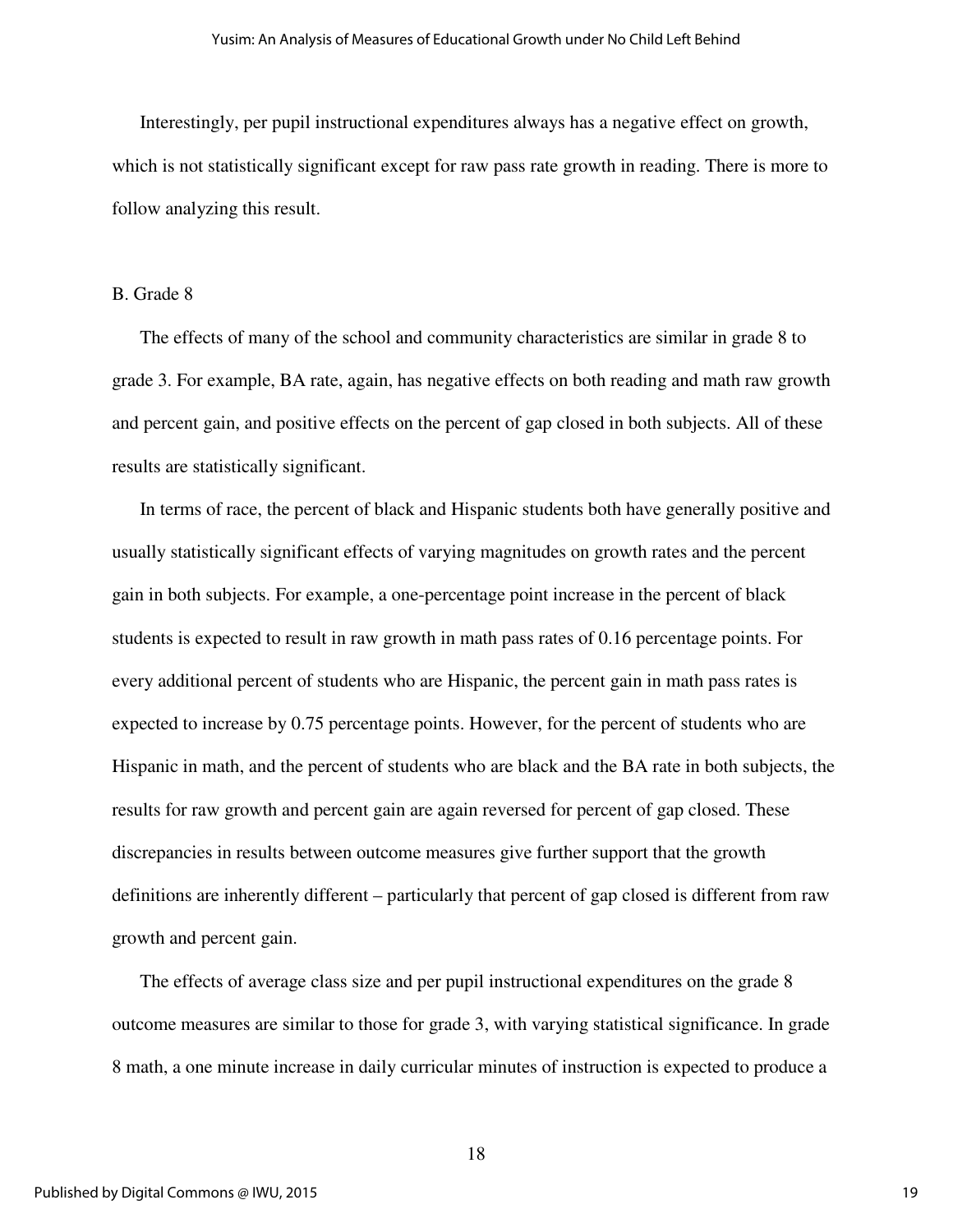Interestingly, per pupil instructional expenditures always has a negative effect on growth, which is not statistically significant except for raw pass rate growth in reading. There is more to follow analyzing this result.

#### B. Grade 8

The effects of many of the school and community characteristics are similar in grade 8 to grade 3. For example, BA rate, again, has negative effects on both reading and math raw growth and percent gain, and positive effects on the percent of gap closed in both subjects. All of these results are statistically significant.

In terms of race, the percent of black and Hispanic students both have generally positive and usually statistically significant effects of varying magnitudes on growth rates and the percent gain in both subjects. For example, a one-percentage point increase in the percent of black students is expected to result in raw growth in math pass rates of 0.16 percentage points. For every additional percent of students who are Hispanic, the percent gain in math pass rates is expected to increase by 0.75 percentage points. However, for the percent of students who are Hispanic in math, and the percent of students who are black and the BA rate in both subjects, the results for raw growth and percent gain are again reversed for percent of gap closed. These discrepancies in results between outcome measures give further support that the growth definitions are inherently different – particularly that percent of gap closed is different from raw growth and percent gain.

The effects of average class size and per pupil instructional expenditures on the grade 8 outcome measures are similar to those for grade 3, with varying statistical significance. In grade 8 math, a one minute increase in daily curricular minutes of instruction is expected to produce a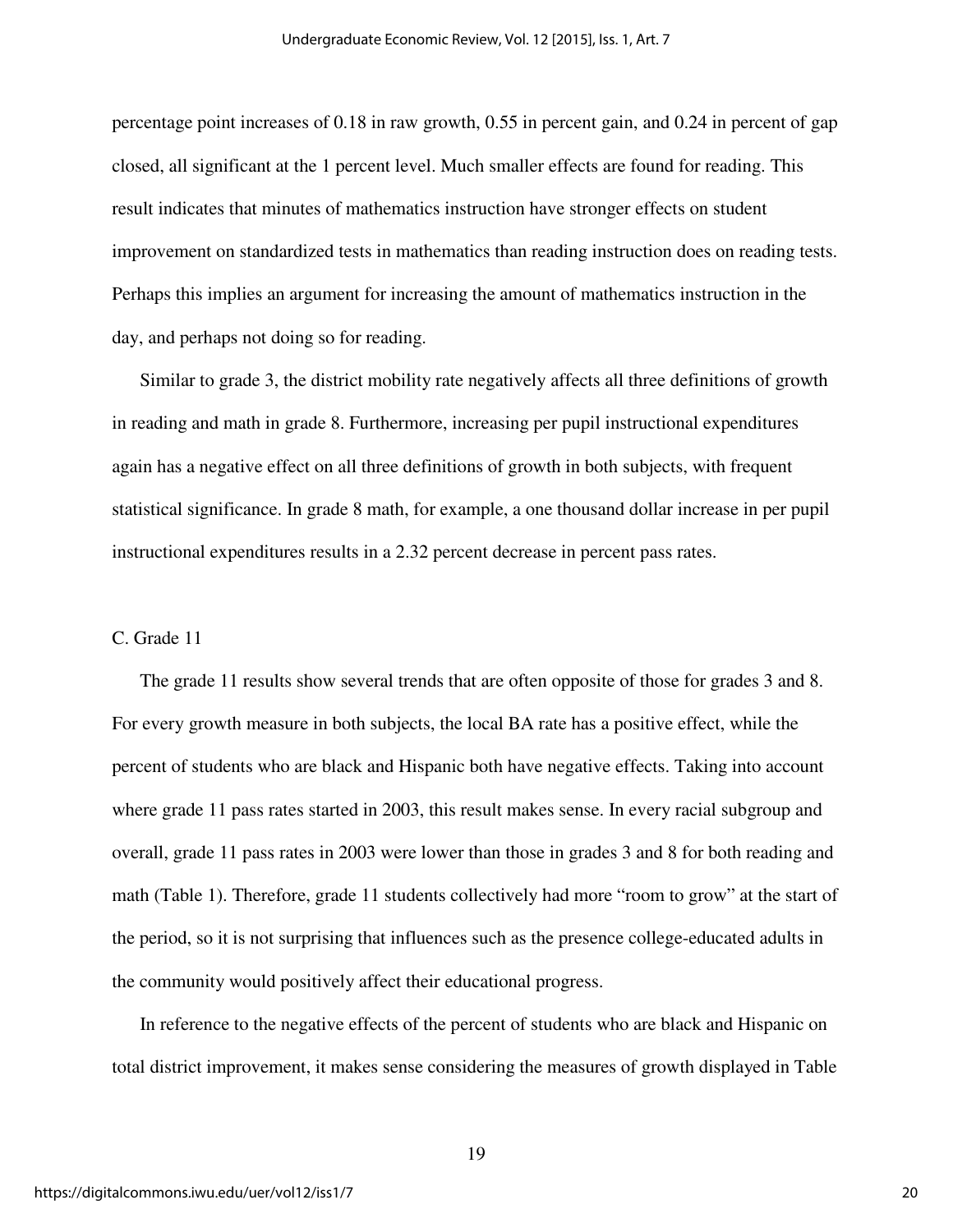percentage point increases of 0.18 in raw growth, 0.55 in percent gain, and 0.24 in percent of gap closed, all significant at the 1 percent level. Much smaller effects are found for reading. This result indicates that minutes of mathematics instruction have stronger effects on student improvement on standardized tests in mathematics than reading instruction does on reading tests. Perhaps this implies an argument for increasing the amount of mathematics instruction in the day, and perhaps not doing so for reading.

Similar to grade 3, the district mobility rate negatively affects all three definitions of growth in reading and math in grade 8. Furthermore, increasing per pupil instructional expenditures again has a negative effect on all three definitions of growth in both subjects, with frequent statistical significance. In grade 8 math, for example, a one thousand dollar increase in per pupil instructional expenditures results in a 2.32 percent decrease in percent pass rates.

#### C. Grade 11

The grade 11 results show several trends that are often opposite of those for grades 3 and 8. For every growth measure in both subjects, the local BA rate has a positive effect, while the percent of students who are black and Hispanic both have negative effects. Taking into account where grade 11 pass rates started in 2003, this result makes sense. In every racial subgroup and overall, grade 11 pass rates in 2003 were lower than those in grades 3 and 8 for both reading and math (Table 1). Therefore, grade 11 students collectively had more "room to grow" at the start of the period, so it is not surprising that influences such as the presence college-educated adults in the community would positively affect their educational progress.

In reference to the negative effects of the percent of students who are black and Hispanic on total district improvement, it makes sense considering the measures of growth displayed in Table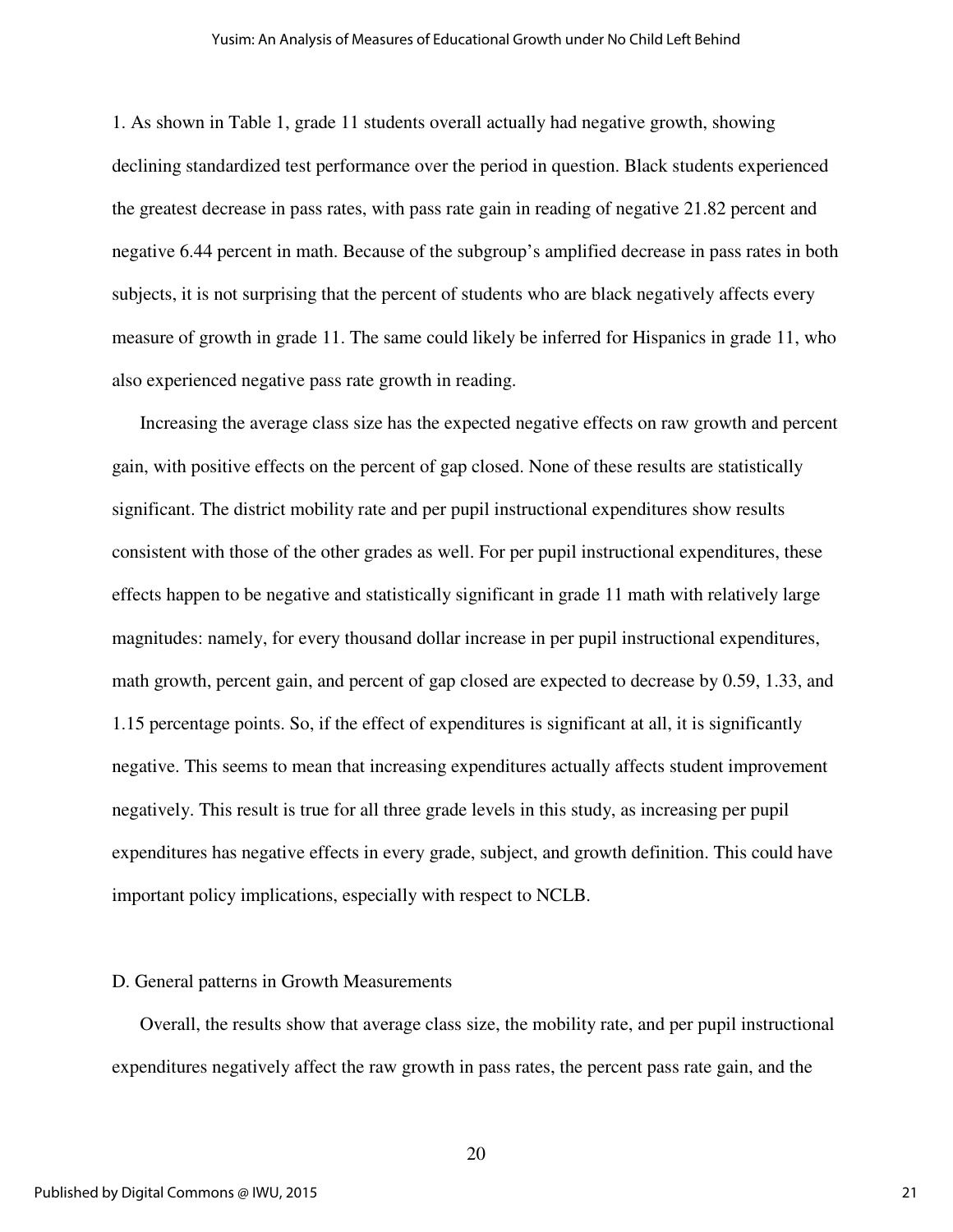1. As shown in Table 1, grade 11 students overall actually had negative growth, showing declining standardized test performance over the period in question. Black students experienced the greatest decrease in pass rates, with pass rate gain in reading of negative 21.82 percent and negative 6.44 percent in math. Because of the subgroup's amplified decrease in pass rates in both subjects, it is not surprising that the percent of students who are black negatively affects every measure of growth in grade 11. The same could likely be inferred for Hispanics in grade 11, who also experienced negative pass rate growth in reading.

Increasing the average class size has the expected negative effects on raw growth and percent gain, with positive effects on the percent of gap closed. None of these results are statistically significant. The district mobility rate and per pupil instructional expenditures show results consistent with those of the other grades as well. For per pupil instructional expenditures, these effects happen to be negative and statistically significant in grade 11 math with relatively large magnitudes: namely, for every thousand dollar increase in per pupil instructional expenditures, math growth, percent gain, and percent of gap closed are expected to decrease by 0.59, 1.33, and 1.15 percentage points. So, if the effect of expenditures is significant at all, it is significantly negative. This seems to mean that increasing expenditures actually affects student improvement negatively. This result is true for all three grade levels in this study, as increasing per pupil expenditures has negative effects in every grade, subject, and growth definition. This could have important policy implications, especially with respect to NCLB.

#### D. General patterns in Growth Measurements

Overall, the results show that average class size, the mobility rate, and per pupil instructional expenditures negatively affect the raw growth in pass rates, the percent pass rate gain, and the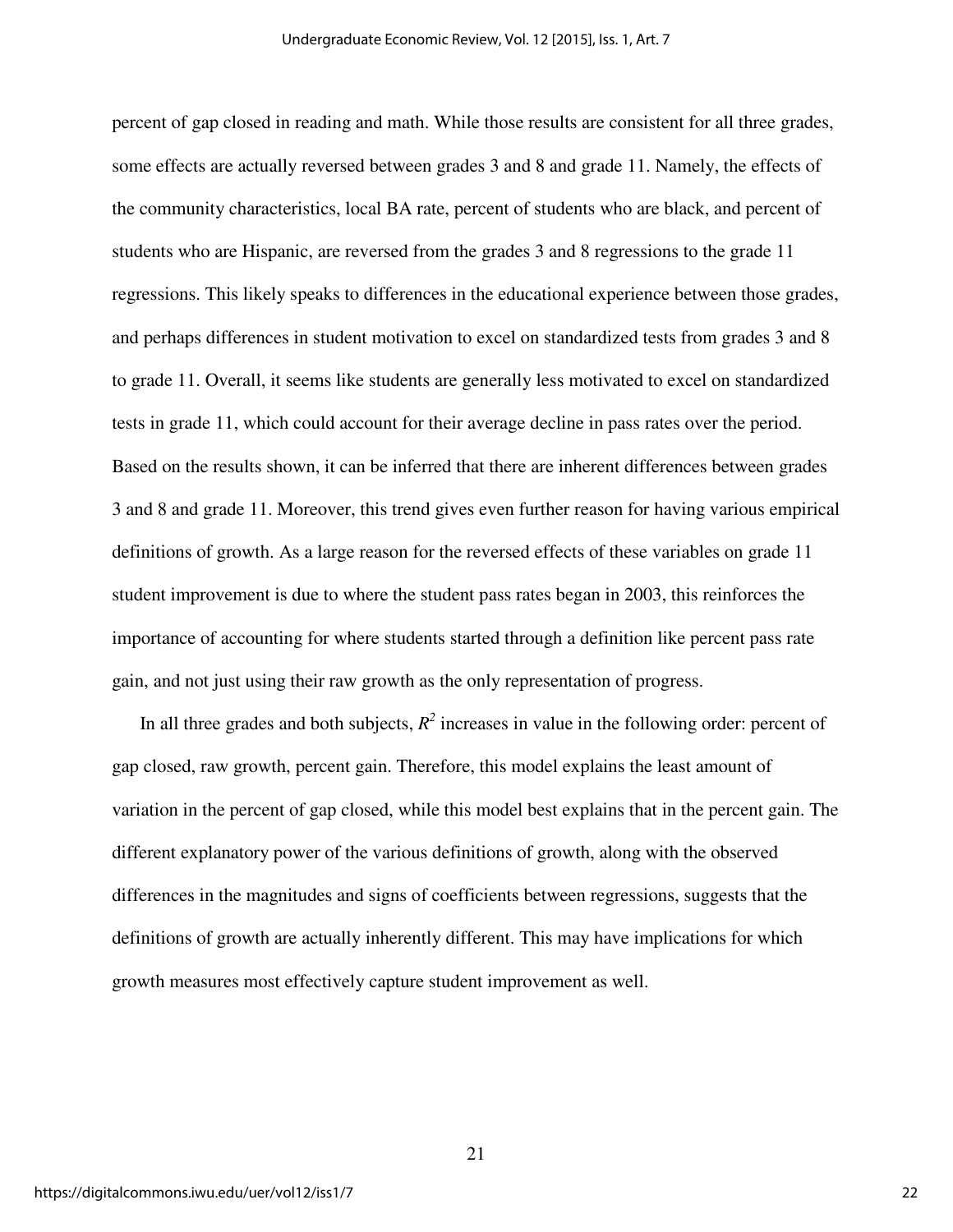percent of gap closed in reading and math. While those results are consistent for all three grades, some effects are actually reversed between grades 3 and 8 and grade 11. Namely, the effects of the community characteristics, local BA rate, percent of students who are black, and percent of students who are Hispanic, are reversed from the grades 3 and 8 regressions to the grade 11 regressions. This likely speaks to differences in the educational experience between those grades, and perhaps differences in student motivation to excel on standardized tests from grades 3 and 8 to grade 11. Overall, it seems like students are generally less motivated to excel on standardized tests in grade 11, which could account for their average decline in pass rates over the period. Based on the results shown, it can be inferred that there are inherent differences between grades 3 and 8 and grade 11. Moreover, this trend gives even further reason for having various empirical definitions of growth. As a large reason for the reversed effects of these variables on grade 11 student improvement is due to where the student pass rates began in 2003, this reinforces the importance of accounting for where students started through a definition like percent pass rate gain, and not just using their raw growth as the only representation of progress.

In all three grades and both subjects,  $R^2$  increases in value in the following order: percent of gap closed, raw growth, percent gain. Therefore, this model explains the least amount of variation in the percent of gap closed, while this model best explains that in the percent gain. The different explanatory power of the various definitions of growth, along with the observed differences in the magnitudes and signs of coefficients between regressions, suggests that the definitions of growth are actually inherently different. This may have implications for which growth measures most effectively capture student improvement as well.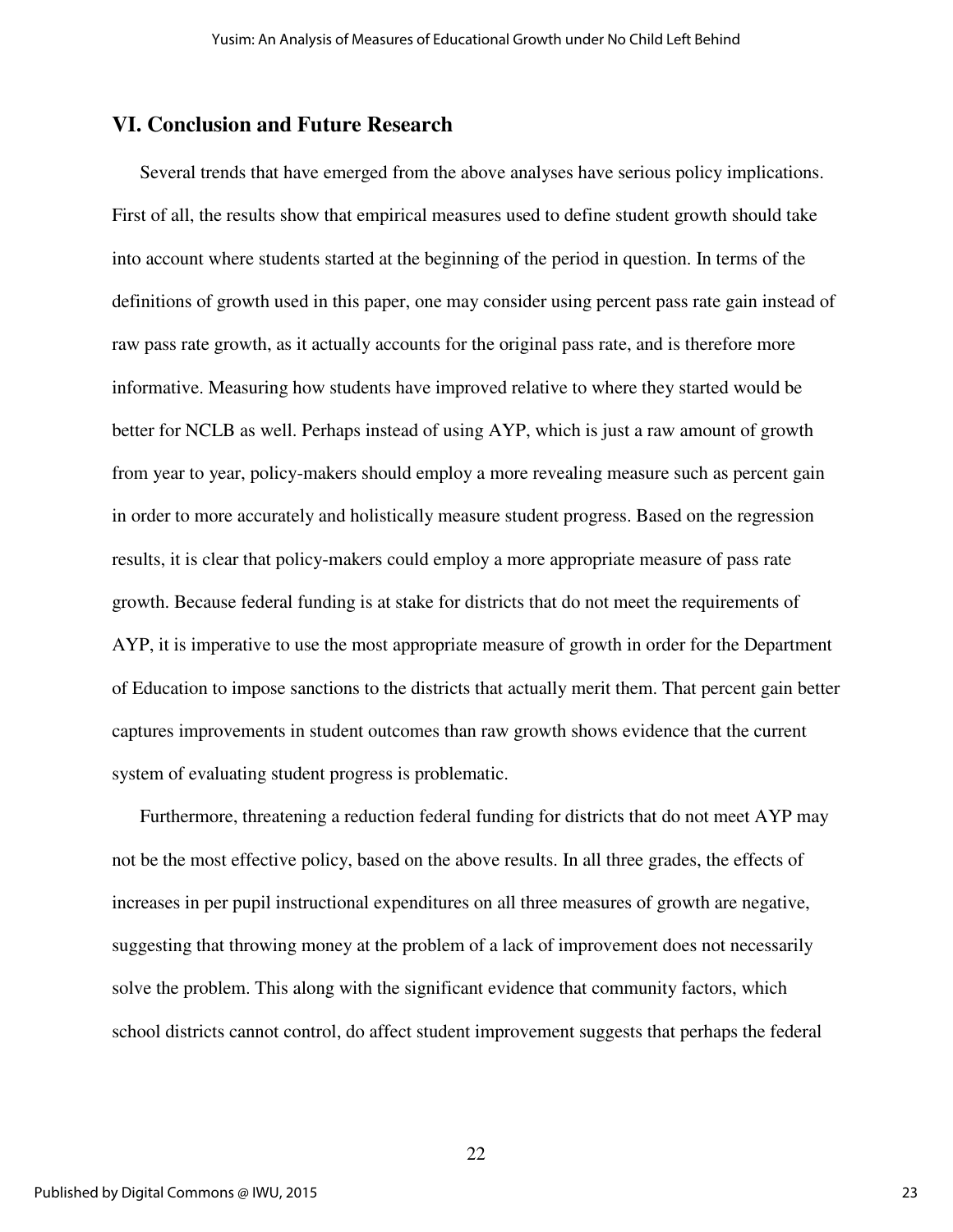#### **VI. Conclusion and Future Research**

Several trends that have emerged from the above analyses have serious policy implications. First of all, the results show that empirical measures used to define student growth should take into account where students started at the beginning of the period in question. In terms of the definitions of growth used in this paper, one may consider using percent pass rate gain instead of raw pass rate growth, as it actually accounts for the original pass rate, and is therefore more informative. Measuring how students have improved relative to where they started would be better for NCLB as well. Perhaps instead of using AYP, which is just a raw amount of growth from year to year, policy-makers should employ a more revealing measure such as percent gain in order to more accurately and holistically measure student progress. Based on the regression results, it is clear that policy-makers could employ a more appropriate measure of pass rate growth. Because federal funding is at stake for districts that do not meet the requirements of AYP, it is imperative to use the most appropriate measure of growth in order for the Department of Education to impose sanctions to the districts that actually merit them. That percent gain better captures improvements in student outcomes than raw growth shows evidence that the current system of evaluating student progress is problematic.

Furthermore, threatening a reduction federal funding for districts that do not meet AYP may not be the most effective policy, based on the above results. In all three grades, the effects of increases in per pupil instructional expenditures on all three measures of growth are negative, suggesting that throwing money at the problem of a lack of improvement does not necessarily solve the problem. This along with the significant evidence that community factors, which school districts cannot control, do affect student improvement suggests that perhaps the federal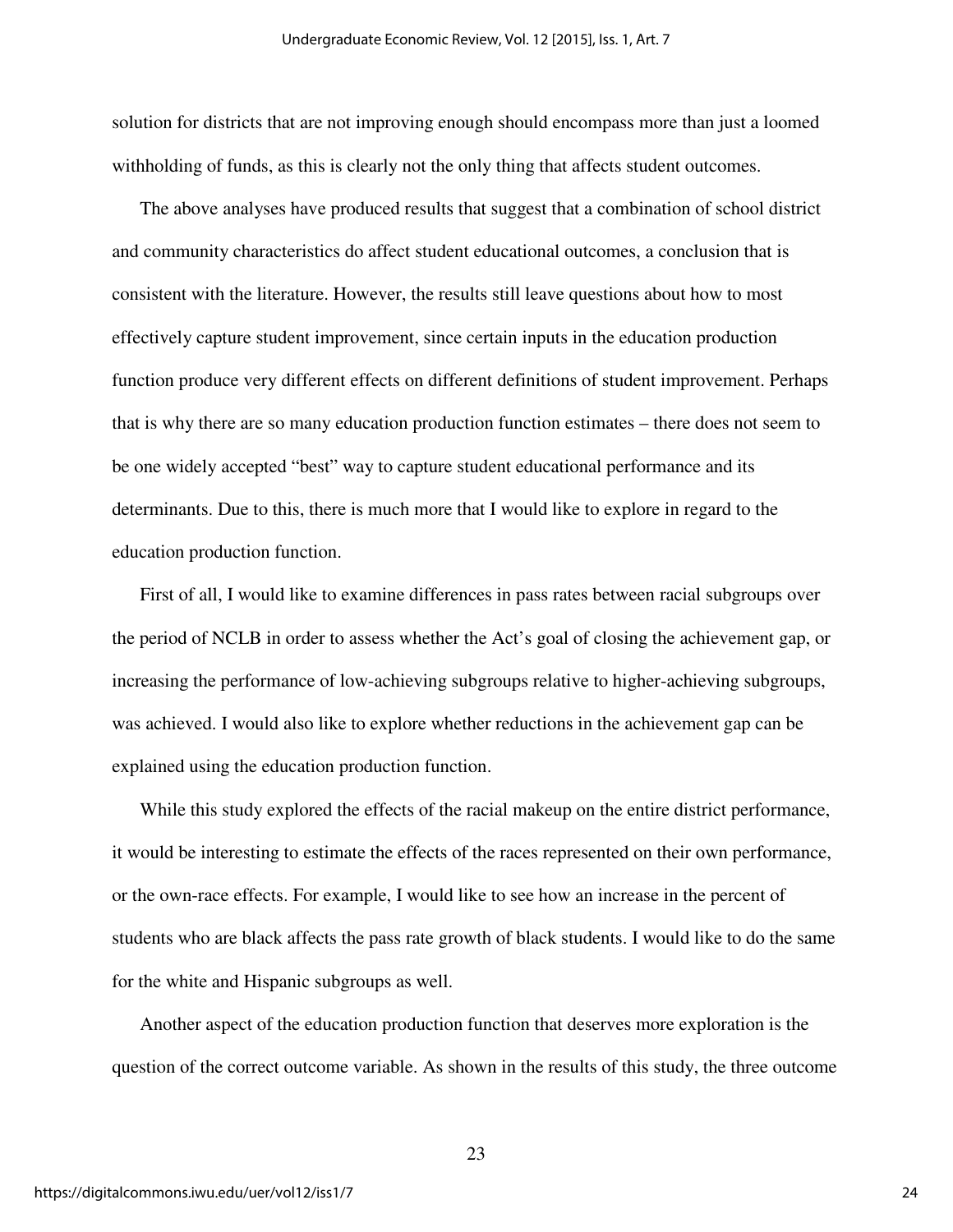solution for districts that are not improving enough should encompass more than just a loomed withholding of funds, as this is clearly not the only thing that affects student outcomes.

The above analyses have produced results that suggest that a combination of school district and community characteristics do affect student educational outcomes, a conclusion that is consistent with the literature. However, the results still leave questions about how to most effectively capture student improvement, since certain inputs in the education production function produce very different effects on different definitions of student improvement. Perhaps that is why there are so many education production function estimates – there does not seem to be one widely accepted "best" way to capture student educational performance and its determinants. Due to this, there is much more that I would like to explore in regard to the education production function.

First of all, I would like to examine differences in pass rates between racial subgroups over the period of NCLB in order to assess whether the Act's goal of closing the achievement gap, or increasing the performance of low-achieving subgroups relative to higher-achieving subgroups, was achieved. I would also like to explore whether reductions in the achievement gap can be explained using the education production function.

While this study explored the effects of the racial makeup on the entire district performance, it would be interesting to estimate the effects of the races represented on their own performance, or the own-race effects. For example, I would like to see how an increase in the percent of students who are black affects the pass rate growth of black students. I would like to do the same for the white and Hispanic subgroups as well.

Another aspect of the education production function that deserves more exploration is the question of the correct outcome variable. As shown in the results of this study, the three outcome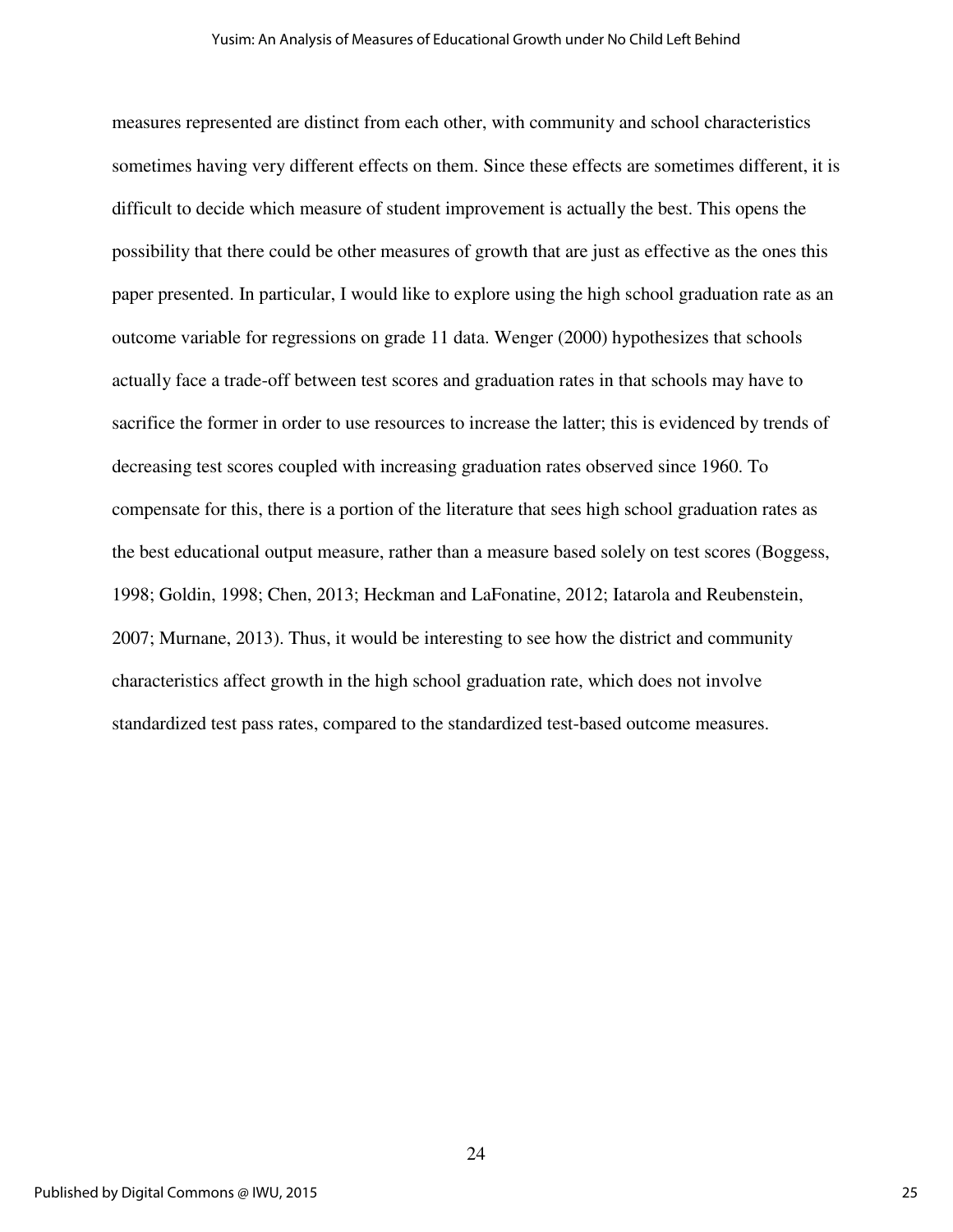measures represented are distinct from each other, with community and school characteristics sometimes having very different effects on them. Since these effects are sometimes different, it is difficult to decide which measure of student improvement is actually the best. This opens the possibility that there could be other measures of growth that are just as effective as the ones this paper presented. In particular, I would like to explore using the high school graduation rate as an outcome variable for regressions on grade 11 data. Wenger (2000) hypothesizes that schools actually face a trade-off between test scores and graduation rates in that schools may have to sacrifice the former in order to use resources to increase the latter; this is evidenced by trends of decreasing test scores coupled with increasing graduation rates observed since 1960. To compensate for this, there is a portion of the literature that sees high school graduation rates as the best educational output measure, rather than a measure based solely on test scores (Boggess, 1998; Goldin, 1998; Chen, 2013; Heckman and LaFonatine, 2012; Iatarola and Reubenstein, 2007; Murnane, 2013). Thus, it would be interesting to see how the district and community characteristics affect growth in the high school graduation rate, which does not involve standardized test pass rates, compared to the standardized test-based outcome measures.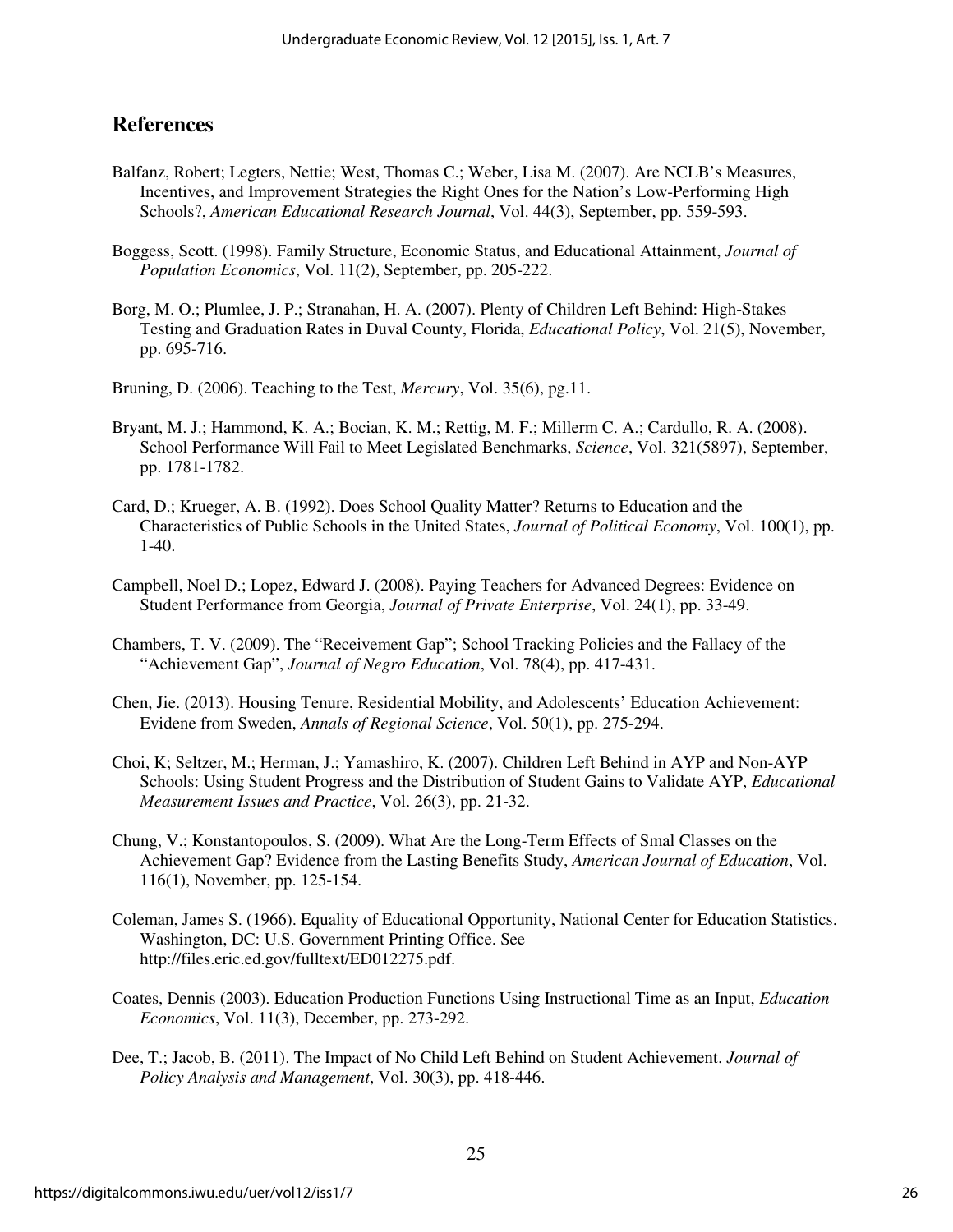## **References**

- Balfanz, Robert; Legters, Nettie; West, Thomas C.; Weber, Lisa M. (2007). Are NCLB's Measures, Incentives, and Improvement Strategies the Right Ones for the Nation's Low-Performing High Schools?, *American Educational Research Journal*, Vol. 44(3), September, pp. 559-593.
- Boggess, Scott. (1998). Family Structure, Economic Status, and Educational Attainment, *Journal of Population Economics*, Vol. 11(2), September, pp. 205-222.
- Borg, M. O.; Plumlee, J. P.; Stranahan, H. A. (2007). Plenty of Children Left Behind: High-Stakes Testing and Graduation Rates in Duval County, Florida, *Educational Policy*, Vol. 21(5), November, pp. 695-716.
- Bruning, D. (2006). Teaching to the Test, *Mercury*, Vol. 35(6), pg.11.
- Bryant, M. J.; Hammond, K. A.; Bocian, K. M.; Rettig, M. F.; Millerm C. A.; Cardullo, R. A. (2008). School Performance Will Fail to Meet Legislated Benchmarks, *Science*, Vol. 321(5897), September, pp. 1781-1782.
- Card, D.; Krueger, A. B. (1992). Does School Quality Matter? Returns to Education and the Characteristics of Public Schools in the United States, *Journal of Political Economy*, Vol. 100(1), pp. 1-40.
- Campbell, Noel D.; Lopez, Edward J. (2008). Paying Teachers for Advanced Degrees: Evidence on Student Performance from Georgia, *Journal of Private Enterprise*, Vol. 24(1), pp. 33-49.
- Chambers, T. V. (2009). The "Receivement Gap"; School Tracking Policies and the Fallacy of the "Achievement Gap", *Journal of Negro Education*, Vol. 78(4), pp. 417-431.
- Chen, Jie. (2013). Housing Tenure, Residential Mobility, and Adolescents' Education Achievement: Evidene from Sweden, *Annals of Regional Science*, Vol. 50(1), pp. 275-294.
- Choi, K; Seltzer, M.; Herman, J.; Yamashiro, K. (2007). Children Left Behind in AYP and Non-AYP Schools: Using Student Progress and the Distribution of Student Gains to Validate AYP, *Educational Measurement Issues and Practice*, Vol. 26(3), pp. 21-32.
- Chung, V.; Konstantopoulos, S. (2009). What Are the Long-Term Effects of Smal Classes on the Achievement Gap? Evidence from the Lasting Benefits Study, *American Journal of Education*, Vol. 116(1), November, pp. 125-154.
- Coleman, James S. (1966). Equality of Educational Opportunity, National Center for Education Statistics. Washington, DC: U.S. Government Printing Office. See http://files.eric.ed.gov/fulltext/ED012275.pdf.
- Coates, Dennis (2003). Education Production Functions Using Instructional Time as an Input, *Education Economics*, Vol. 11(3), December, pp. 273-292.
- Dee, T.; Jacob, B. (2011). The Impact of No Child Left Behind on Student Achievement. *Journal of Policy Analysis and Management*, Vol. 30(3), pp. 418-446.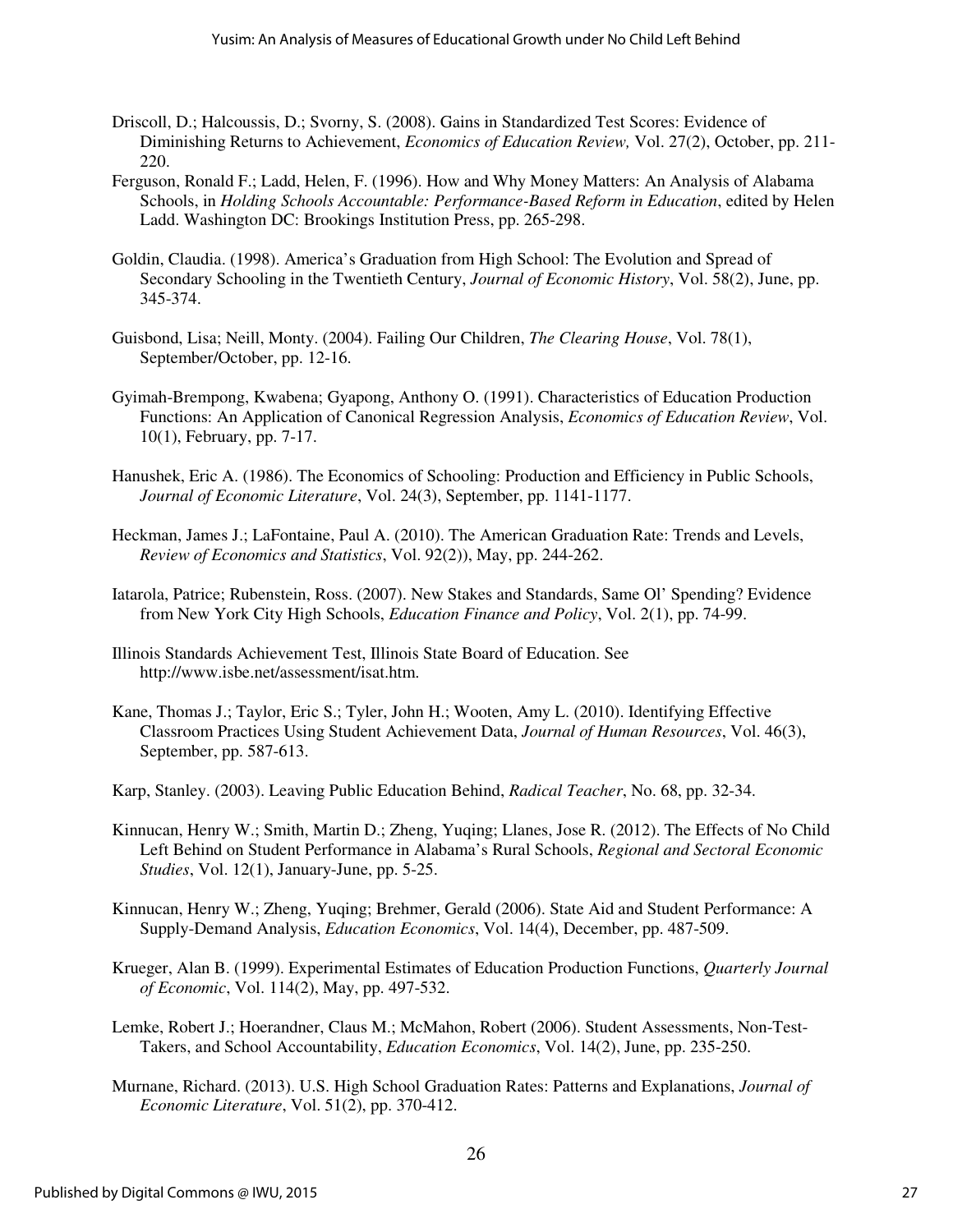- Driscoll, D.; Halcoussis, D.; Svorny, S. (2008). Gains in Standardized Test Scores: Evidence of Diminishing Returns to Achievement, *Economics of Education Review,* Vol. 27(2), October, pp. 211- 220.
- Ferguson, Ronald F.; Ladd, Helen, F. (1996). How and Why Money Matters: An Analysis of Alabama Schools, in *Holding Schools Accountable: Performance-Based Reform in Education*, edited by Helen Ladd. Washington DC: Brookings Institution Press, pp. 265-298.
- Goldin, Claudia. (1998). America's Graduation from High School: The Evolution and Spread of Secondary Schooling in the Twentieth Century, *Journal of Economic History*, Vol. 58(2), June, pp. 345-374.
- Guisbond, Lisa; Neill, Monty. (2004). Failing Our Children, *The Clearing House*, Vol. 78(1), September/October, pp. 12-16.
- Gyimah-Brempong, Kwabena; Gyapong, Anthony O. (1991). Characteristics of Education Production Functions: An Application of Canonical Regression Analysis, *Economics of Education Review*, Vol. 10(1), February, pp. 7-17.
- Hanushek, Eric A. (1986). The Economics of Schooling: Production and Efficiency in Public Schools, *Journal of Economic Literature*, Vol. 24(3), September, pp. 1141-1177.
- Heckman, James J.; LaFontaine, Paul A. (2010). The American Graduation Rate: Trends and Levels, *Review of Economics and Statistics*, Vol. 92(2)), May, pp. 244-262.
- Iatarola, Patrice; Rubenstein, Ross. (2007). New Stakes and Standards, Same Ol' Spending? Evidence from New York City High Schools, *Education Finance and Policy*, Vol. 2(1), pp. 74-99.
- Illinois Standards Achievement Test, Illinois State Board of Education. See http://www.isbe.net/assessment/isat.htm.
- Kane, Thomas J.; Taylor, Eric S.; Tyler, John H.; Wooten, Amy L. (2010). Identifying Effective Classroom Practices Using Student Achievement Data, *Journal of Human Resources*, Vol. 46(3), September, pp. 587-613.

Karp, Stanley. (2003). Leaving Public Education Behind, *Radical Teacher*, No. 68, pp. 32-34.

- Kinnucan, Henry W.; Smith, Martin D.; Zheng, Yuqing; Llanes, Jose R. (2012). The Effects of No Child Left Behind on Student Performance in Alabama's Rural Schools, *Regional and Sectoral Economic Studies*, Vol. 12(1), January-June, pp. 5-25.
- Kinnucan, Henry W.; Zheng, Yuqing; Brehmer, Gerald (2006). State Aid and Student Performance: A Supply-Demand Analysis, *Education Economics*, Vol. 14(4), December, pp. 487-509.
- Krueger, Alan B. (1999). Experimental Estimates of Education Production Functions, *Quarterly Journal of Economic*, Vol. 114(2), May, pp. 497-532.
- Lemke, Robert J.; Hoerandner, Claus M.; McMahon, Robert (2006). Student Assessments, Non-Test-Takers, and School Accountability, *Education Economics*, Vol. 14(2), June, pp. 235-250.
- Murnane, Richard. (2013). U.S. High School Graduation Rates: Patterns and Explanations, *Journal of Economic Literature*, Vol. 51(2), pp. 370-412.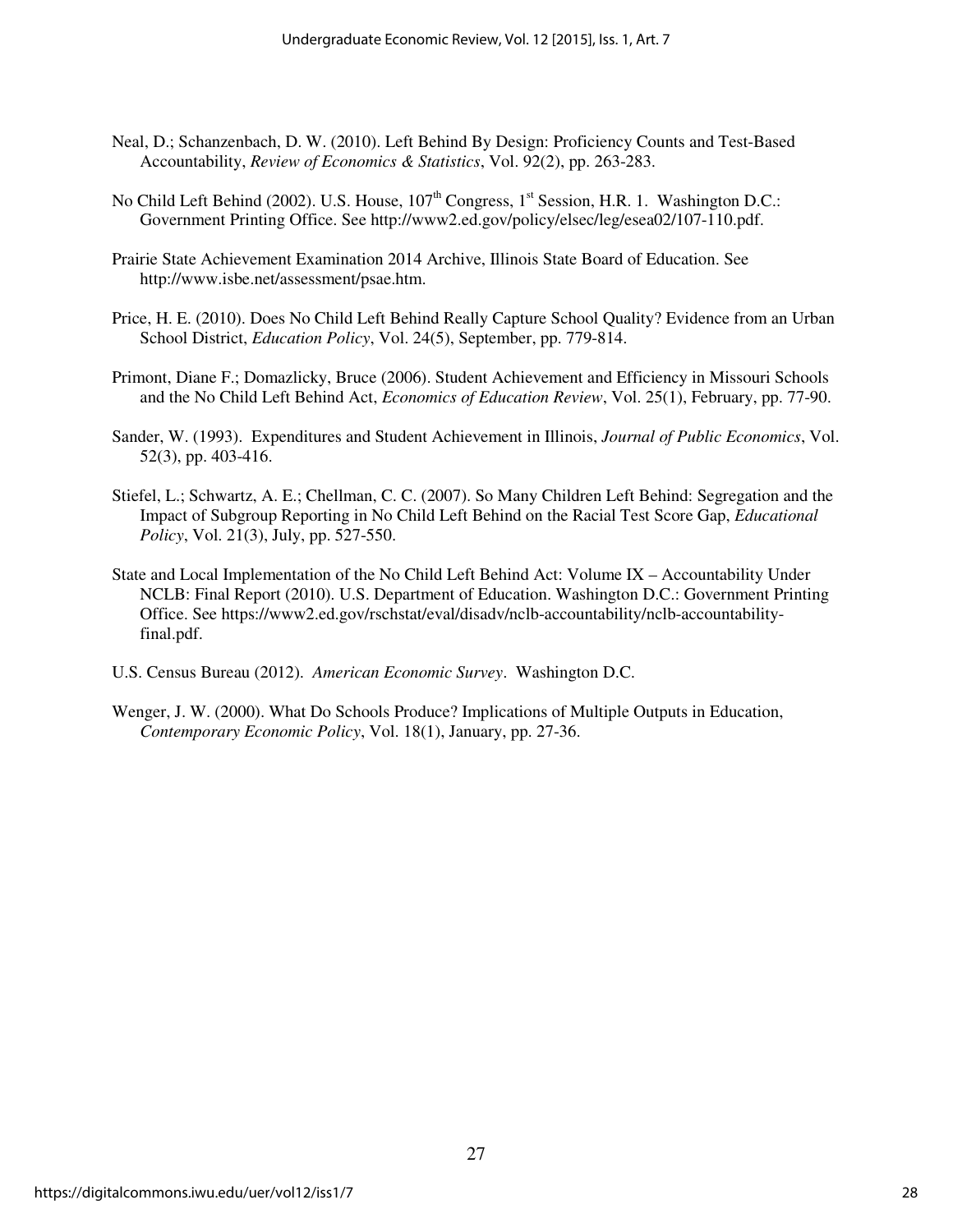- Neal, D.; Schanzenbach, D. W. (2010). Left Behind By Design: Proficiency Counts and Test-Based Accountability, *Review of Economics & Statistics*, Vol. 92(2), pp. 263-283.
- No Child Left Behind (2002). U.S. House, 107<sup>th</sup> Congress, 1<sup>st</sup> Session, H.R. 1. Washington D.C.: Government Printing Office. See http://www2.ed.gov/policy/elsec/leg/esea02/107-110.pdf.
- Prairie State Achievement Examination 2014 Archive, Illinois State Board of Education. See http://www.isbe.net/assessment/psae.htm.
- Price, H. E. (2010). Does No Child Left Behind Really Capture School Quality? Evidence from an Urban School District, *Education Policy*, Vol. 24(5), September, pp. 779-814.
- Primont, Diane F.; Domazlicky, Bruce (2006). Student Achievement and Efficiency in Missouri Schools and the No Child Left Behind Act, *Economics of Education Review*, Vol. 25(1), February, pp. 77-90.
- Sander, W. (1993). Expenditures and Student Achievement in Illinois, *Journal of Public Economics*, Vol. 52(3), pp. 403-416.
- Stiefel, L.; Schwartz, A. E.; Chellman, C. C. (2007). So Many Children Left Behind: Segregation and the Impact of Subgroup Reporting in No Child Left Behind on the Racial Test Score Gap, *Educational Policy*, Vol. 21(3), July, pp. 527-550.
- State and Local Implementation of the No Child Left Behind Act: Volume IX Accountability Under NCLB: Final Report (2010). U.S. Department of Education. Washington D.C.: Government Printing Office. See https://www2.ed.gov/rschstat/eval/disadv/nclb-accountability/nclb-accountabilityfinal.pdf.
- U.S. Census Bureau (2012). *American Economic Survey*. Washington D.C.
- Wenger, J. W. (2000). What Do Schools Produce? Implications of Multiple Outputs in Education, *Contemporary Economic Policy*, Vol. 18(1), January, pp. 27-36.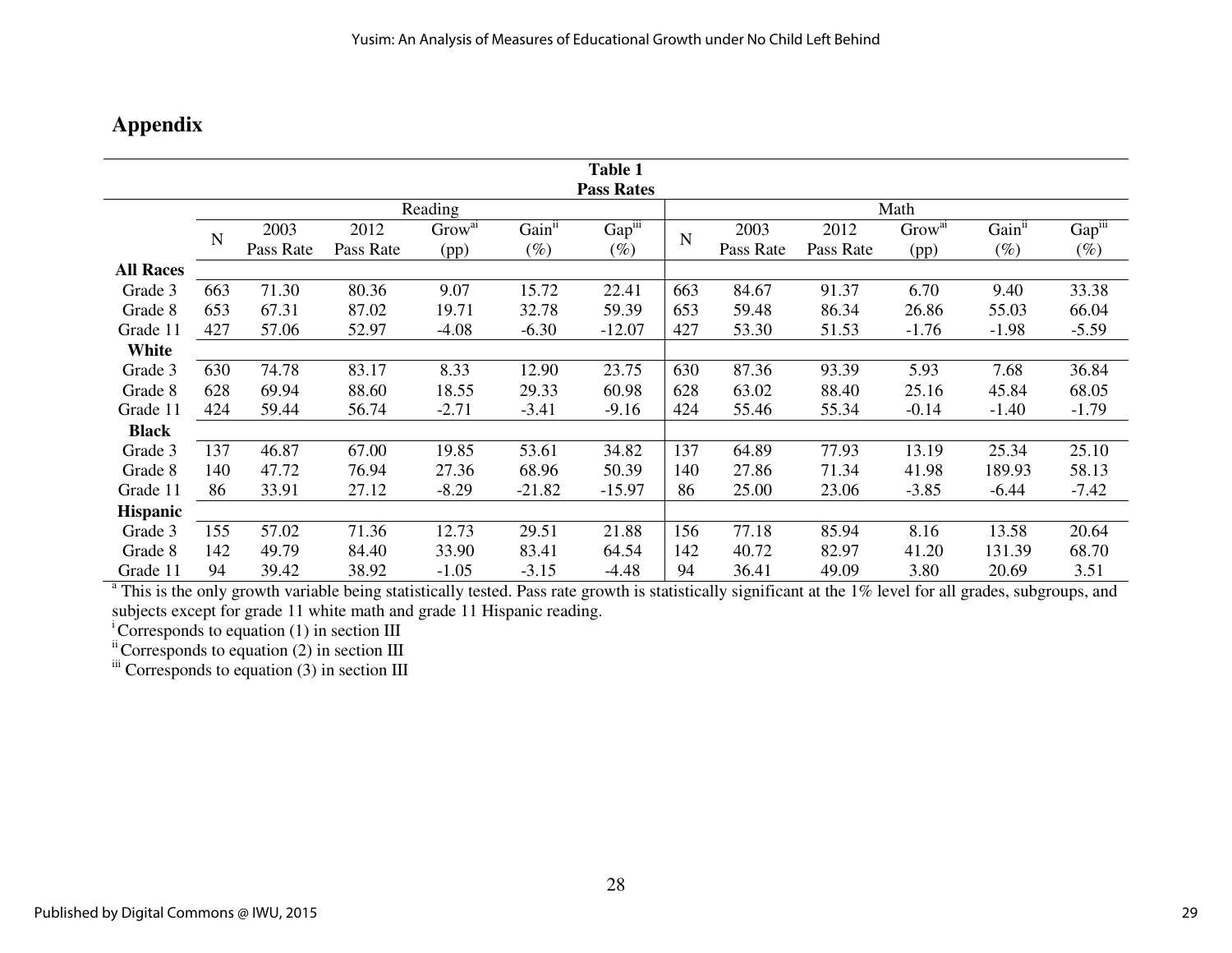## **Appendix**

| <b>Table 1</b><br><b>Pass Rates</b> |         |           |           |                    |                    |          |      |           |           |                    |                    |         |
|-------------------------------------|---------|-----------|-----------|--------------------|--------------------|----------|------|-----------|-----------|--------------------|--------------------|---------|
|                                     | Reading |           |           |                    |                    |          | Math |           |           |                    |                    |         |
|                                     |         | 2003      | 2012      | Grow <sup>ai</sup> | Gain <sup>ii</sup> | Gapiii   |      | 2003      | 2012      | Grow <sup>ai</sup> | Gain <sup>ii</sup> | Gapiii  |
|                                     | N       | Pass Rate | Pass Rate | (pp)               | $(\%)$             | $(\%)$   | N    | Pass Rate | Pass Rate | (pp)               | $(\%)$             | $(\%)$  |
| <b>All Races</b>                    |         |           |           |                    |                    |          |      |           |           |                    |                    |         |
| Grade 3                             | 663     | 71.30     | 80.36     | 9.07               | 15.72              | 22.41    | 663  | 84.67     | 91.37     | 6.70               | 9.40               | 33.38   |
| Grade 8                             | 653     | 67.31     | 87.02     | 19.71              | 32.78              | 59.39    | 653  | 59.48     | 86.34     | 26.86              | 55.03              | 66.04   |
| Grade 11                            | 427     | 57.06     | 52.97     | $-4.08$            | $-6.30$            | $-12.07$ | 427  | 53.30     | 51.53     | $-1.76$            | $-1.98$            | $-5.59$ |
| White                               |         |           |           |                    |                    |          |      |           |           |                    |                    |         |
| Grade 3                             | 630     | 74.78     | 83.17     | 8.33               | 12.90              | 23.75    | 630  | 87.36     | 93.39     | 5.93               | 7.68               | 36.84   |
| Grade 8                             | 628     | 69.94     | 88.60     | 18.55              | 29.33              | 60.98    | 628  | 63.02     | 88.40     | 25.16              | 45.84              | 68.05   |
| Grade 11                            | 424     | 59.44     | 56.74     | $-2.71$            | $-3.41$            | $-9.16$  | 424  | 55.46     | 55.34     | $-0.14$            | $-1.40$            | $-1.79$ |
| <b>Black</b>                        |         |           |           |                    |                    |          |      |           |           |                    |                    |         |
| Grade 3                             | 137     | 46.87     | 67.00     | 19.85              | 53.61              | 34.82    | 137  | 64.89     | 77.93     | 13.19              | 25.34              | 25.10   |
| Grade 8                             | 140     | 47.72     | 76.94     | 27.36              | 68.96              | 50.39    | 140  | 27.86     | 71.34     | 41.98              | 189.93             | 58.13   |
| Grade 11                            | 86      | 33.91     | 27.12     | $-8.29$            | $-21.82$           | $-15.97$ | 86   | 25.00     | 23.06     | $-3.85$            | $-6.44$            | $-7.42$ |
| <b>Hispanic</b>                     |         |           |           |                    |                    |          |      |           |           |                    |                    |         |
| Grade 3                             | 155     | 57.02     | 71.36     | 12.73              | 29.51              | 21.88    | 156  | 77.18     | 85.94     | 8.16               | 13.58              | 20.64   |
| Grade 8                             | 142     | 49.79     | 84.40     | 33.90              | 83.41              | 64.54    | 142  | 40.72     | 82.97     | 41.20              | 131.39             | 68.70   |
| Grade 11                            | 94      | 39.42     | 38.92     | $-1.05$            | $-3.15$            | $-4.48$  | 94   | 36.41     | 49.09     | 3.80               | 20.69              | 3.51    |

 $^{\text{a}}$  This is the only growth variable being statistically tested. Pass rate growth is statistically significant at the 1% level for all grades, subgroups, and subjects except for grade 11 white math and grade 11 Hispanic reading.

<sup>i</sup>Corresponds to equation (1) in section III<br>
<sup>ii</sup>Corresponds to equation (2) in section III<br>
<sup>iii</sup>Corresponds to equation (3) in section III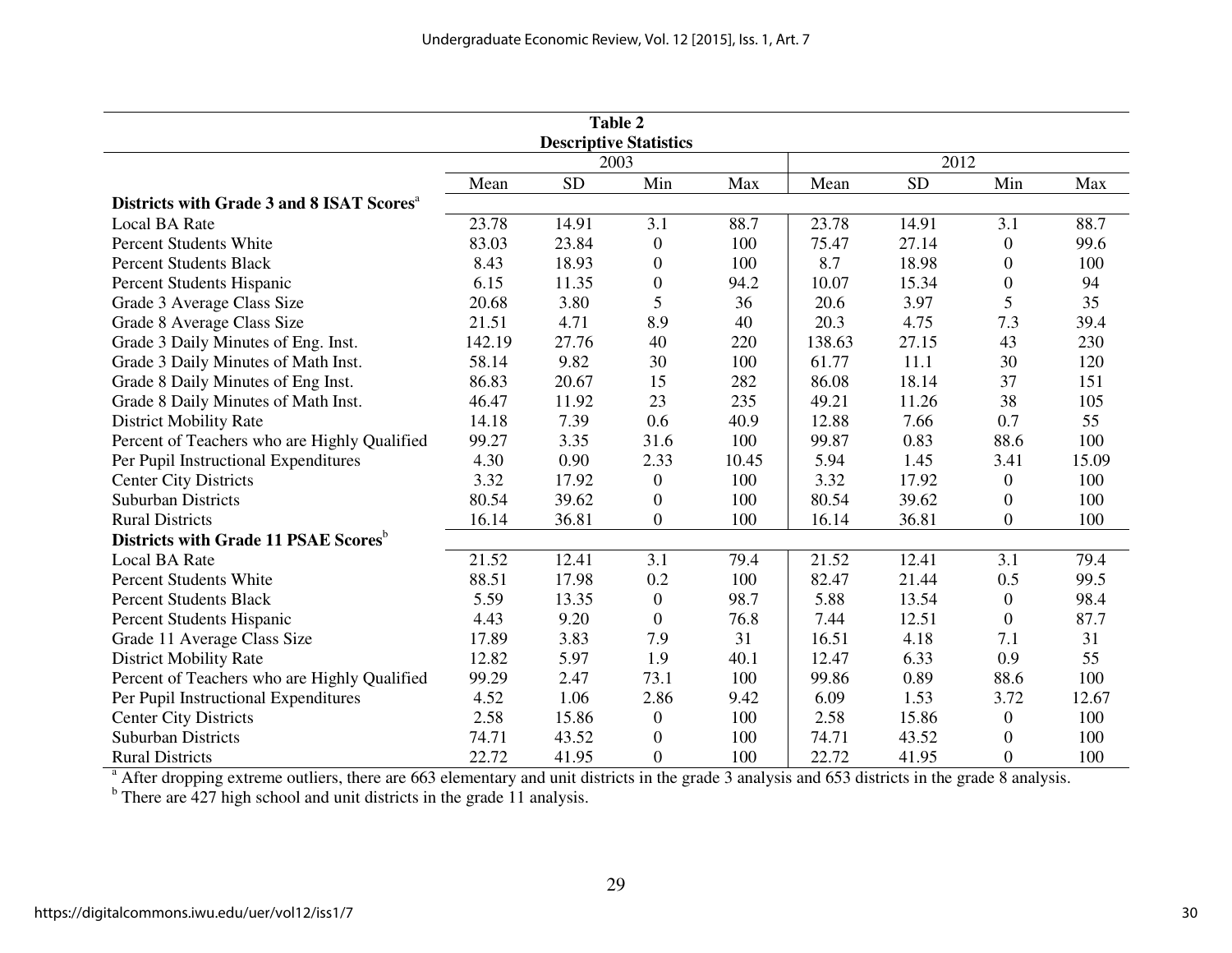| Table 2                                               |        |           |                  |       |        |           |                  |       |  |  |
|-------------------------------------------------------|--------|-----------|------------------|-------|--------|-----------|------------------|-------|--|--|
| <b>Descriptive Statistics</b>                         |        |           |                  |       |        |           |                  |       |  |  |
|                                                       |        | 2003      |                  |       | 2012   |           |                  |       |  |  |
|                                                       | Mean   | <b>SD</b> | Min              | Max   | Mean   | <b>SD</b> | Min              | Max   |  |  |
| Districts with Grade 3 and 8 ISAT Scores <sup>a</sup> |        |           |                  |       |        |           |                  |       |  |  |
| <b>Local BA Rate</b>                                  | 23.78  | 14.91     | 3.1              | 88.7  | 23.78  | 14.91     | 3.1              | 88.7  |  |  |
| <b>Percent Students White</b>                         | 83.03  | 23.84     | $\boldsymbol{0}$ | 100   | 75.47  | 27.14     | $\boldsymbol{0}$ | 99.6  |  |  |
| <b>Percent Students Black</b>                         | 8.43   | 18.93     | $\boldsymbol{0}$ | 100   | 8.7    | 18.98     | $\boldsymbol{0}$ | 100   |  |  |
| Percent Students Hispanic                             | 6.15   | 11.35     | $\boldsymbol{0}$ | 94.2  | 10.07  | 15.34     | $\boldsymbol{0}$ | 94    |  |  |
| Grade 3 Average Class Size                            | 20.68  | 3.80      | 5                | 36    | 20.6   | 3.97      | 5                | 35    |  |  |
| Grade 8 Average Class Size                            | 21.51  | 4.71      | 8.9              | 40    | 20.3   | 4.75      | 7.3              | 39.4  |  |  |
| Grade 3 Daily Minutes of Eng. Inst.                   | 142.19 | 27.76     | 40               | 220   | 138.63 | 27.15     | 43               | 230   |  |  |
| Grade 3 Daily Minutes of Math Inst.                   | 58.14  | 9.82      | 30               | 100   | 61.77  | 11.1      | 30               | 120   |  |  |
| Grade 8 Daily Minutes of Eng Inst.                    | 86.83  | 20.67     | 15               | 282   | 86.08  | 18.14     | 37               | 151   |  |  |
| Grade 8 Daily Minutes of Math Inst.                   | 46.47  | 11.92     | 23               | 235   | 49.21  | 11.26     | 38               | 105   |  |  |
| <b>District Mobility Rate</b>                         | 14.18  | 7.39      | 0.6              | 40.9  | 12.88  | 7.66      | 0.7              | 55    |  |  |
| Percent of Teachers who are Highly Qualified          | 99.27  | 3.35      | 31.6             | 100   | 99.87  | 0.83      | 88.6             | 100   |  |  |
| Per Pupil Instructional Expenditures                  | 4.30   | 0.90      | 2.33             | 10.45 | 5.94   | 1.45      | 3.41             | 15.09 |  |  |
| <b>Center City Districts</b>                          | 3.32   | 17.92     | $\overline{0}$   | 100   | 3.32   | 17.92     | $\mathbf{0}$     | 100   |  |  |
| <b>Suburban Districts</b>                             | 80.54  | 39.62     | $\boldsymbol{0}$ | 100   | 80.54  | 39.62     | $\overline{0}$   | 100   |  |  |
| <b>Rural Districts</b>                                | 16.14  | 36.81     | $\boldsymbol{0}$ | 100   | 16.14  | 36.81     | $\overline{0}$   | 100   |  |  |
| Districts with Grade 11 PSAE Scores <sup>b</sup>      |        |           |                  |       |        |           |                  |       |  |  |
| <b>Local BA Rate</b>                                  | 21.52  | 12.41     | 3.1              | 79.4  | 21.52  | 12.41     | 3.1              | 79.4  |  |  |
| <b>Percent Students White</b>                         | 88.51  | 17.98     | 0.2              | 100   | 82.47  | 21.44     | 0.5              | 99.5  |  |  |
| <b>Percent Students Black</b>                         | 5.59   | 13.35     | $\boldsymbol{0}$ | 98.7  | 5.88   | 13.54     | $\mathbf{0}$     | 98.4  |  |  |
| Percent Students Hispanic                             | 4.43   | 9.20      | $\overline{0}$   | 76.8  | 7.44   | 12.51     | $\theta$         | 87.7  |  |  |
| Grade 11 Average Class Size                           | 17.89  | 3.83      | 7.9              | 31    | 16.51  | 4.18      | 7.1              | 31    |  |  |
| <b>District Mobility Rate</b>                         | 12.82  | 5.97      | 1.9              | 40.1  | 12.47  | 6.33      | 0.9              | 55    |  |  |
| Percent of Teachers who are Highly Qualified          | 99.29  | 2.47      | 73.1             | 100   | 99.86  | 0.89      | 88.6             | 100   |  |  |
| Per Pupil Instructional Expenditures                  | 4.52   | 1.06      | 2.86             | 9.42  | 6.09   | 1.53      | 3.72             | 12.67 |  |  |
| <b>Center City Districts</b>                          | 2.58   | 15.86     | $\boldsymbol{0}$ | 100   | 2.58   | 15.86     | $\boldsymbol{0}$ | 100   |  |  |
| <b>Suburban Districts</b>                             | 74.71  | 43.52     | $\boldsymbol{0}$ | 100   | 74.71  | 43.52     | $\boldsymbol{0}$ | 100   |  |  |
| <b>Rural Districts</b>                                | 22.72  | 41.95     | $\boldsymbol{0}$ | 100   | 22.72  | 41.95     | $\Omega$         | 100   |  |  |

<sup>a</sup> After dropping extreme outliers, there are 663 elementary and unit districts in the grade 3 analysis and 653 districts in the grade 8 analysis.<br><sup>b</sup> There are 427 high school and unit districts in the grade 11 analysis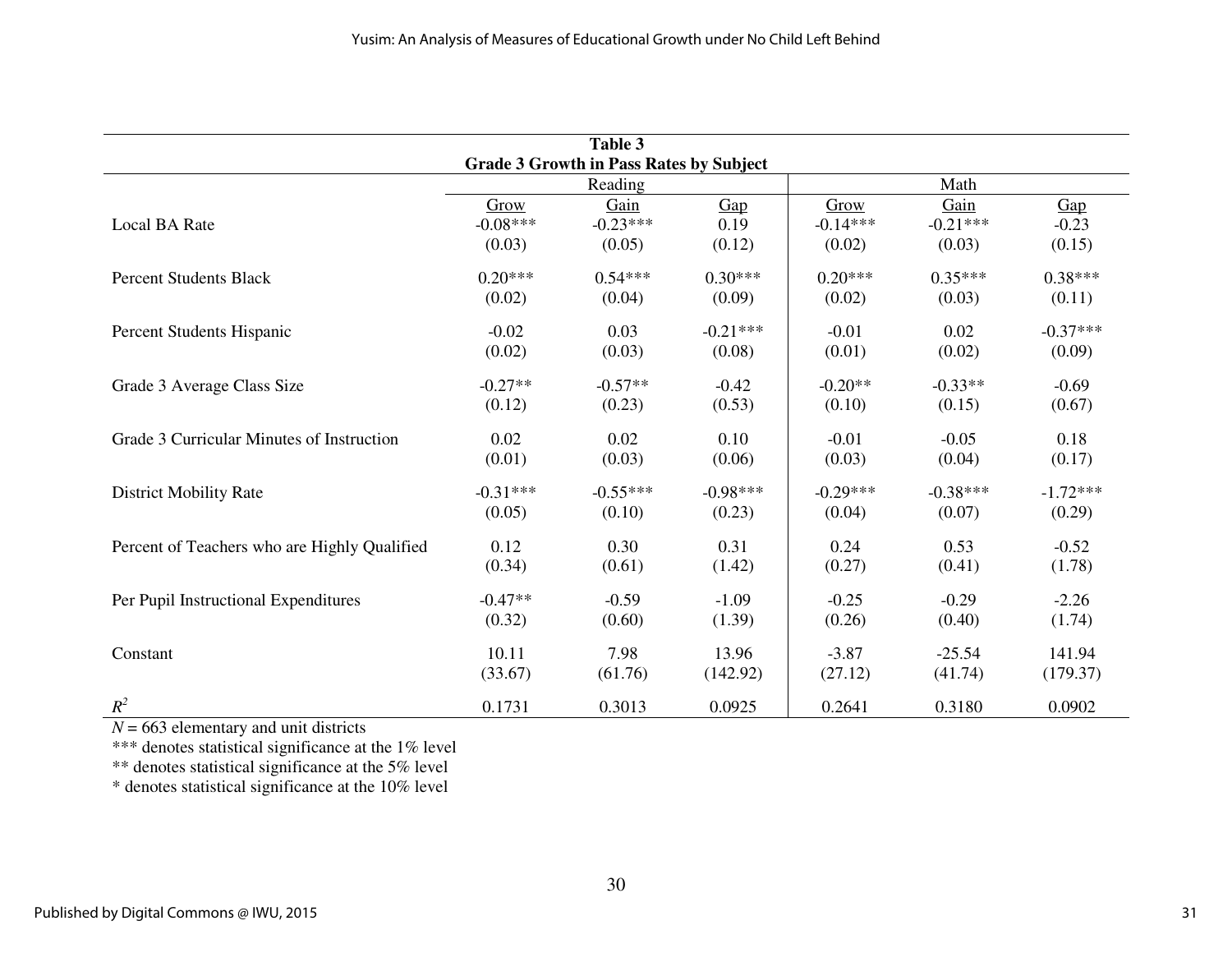| Table 3<br><b>Grade 3 Growth in Pass Rates by Subject</b> |                    |                    |                         |                    |                    |                            |  |  |  |
|-----------------------------------------------------------|--------------------|--------------------|-------------------------|--------------------|--------------------|----------------------------|--|--|--|
|                                                           |                    |                    |                         |                    |                    |                            |  |  |  |
| Local BA Rate                                             | Grow<br>$-0.08***$ | Gain<br>$-0.23***$ | $\frac{Gap}{2}$<br>0.19 | Grow<br>$-0.14***$ | Gain<br>$-0.21***$ | $\frac{Gap}{2}$<br>$-0.23$ |  |  |  |
|                                                           | (0.03)             | (0.05)             | (0.12)                  | (0.02)             | (0.03)             | (0.15)                     |  |  |  |
| <b>Percent Students Black</b>                             | $0.20***$          | $0.54***$          | $0.30***$               | $0.20***$          | $0.35***$          | $0.38***$                  |  |  |  |
|                                                           | (0.02)             | (0.04)             | (0.09)                  | (0.02)             | (0.03)             | (0.11)                     |  |  |  |
| Percent Students Hispanic                                 | $-0.02$            | 0.03               | $-0.21***$              | $-0.01$            | 0.02               | $-0.37***$                 |  |  |  |
|                                                           | (0.02)             | (0.03)             | (0.08)                  | (0.01)             | (0.02)             | (0.09)                     |  |  |  |
| Grade 3 Average Class Size                                | $-0.27**$          | $-0.57**$          | $-0.42$                 | $-0.20**$          | $-0.33**$          | $-0.69$                    |  |  |  |
|                                                           | (0.12)             | (0.23)             | (0.53)                  | (0.10)             | (0.15)             | (0.67)                     |  |  |  |
| Grade 3 Curricular Minutes of Instruction                 | 0.02               | 0.02               | 0.10                    | $-0.01$            | $-0.05$            | 0.18                       |  |  |  |
|                                                           | (0.01)             | (0.03)             | (0.06)                  | (0.03)             | (0.04)             | (0.17)                     |  |  |  |
| <b>District Mobility Rate</b>                             | $-0.31***$         | $-0.55***$         | $-0.98***$              | $-0.29***$         | $-0.38***$         | $-1.72***$                 |  |  |  |
|                                                           | (0.05)             | (0.10)             | (0.23)                  | (0.04)             | (0.07)             | (0.29)                     |  |  |  |
| Percent of Teachers who are Highly Qualified              | 0.12               | 0.30               | 0.31                    | 0.24               | 0.53               | $-0.52$                    |  |  |  |
|                                                           | (0.34)             | (0.61)             | (1.42)                  | (0.27)             | (0.41)             | (1.78)                     |  |  |  |
| Per Pupil Instructional Expenditures                      | $-0.47**$          | $-0.59$            | $-1.09$                 | $-0.25$            | $-0.29$            | $-2.26$                    |  |  |  |
|                                                           | (0.32)             | (0.60)             | (1.39)                  | (0.26)             | (0.40)             | (1.74)                     |  |  |  |
| Constant                                                  | 10.11              | 7.98               | 13.96                   | $-3.87$            | $-25.54$           | 141.94                     |  |  |  |
|                                                           | (33.67)            | (61.76)            | (142.92)                | (27.12)            | (41.74)            | (179.37)                   |  |  |  |
| $R^2$                                                     | 0.1731             | 0.3013             | 0.0925                  | 0.2641             | 0.3180             | 0.0902                     |  |  |  |

 $N = 663$  elementary and unit districts<br>\*\*\* denotes statistical significance at the 1% level<br>\*\* denotes statistical significance at the 10% level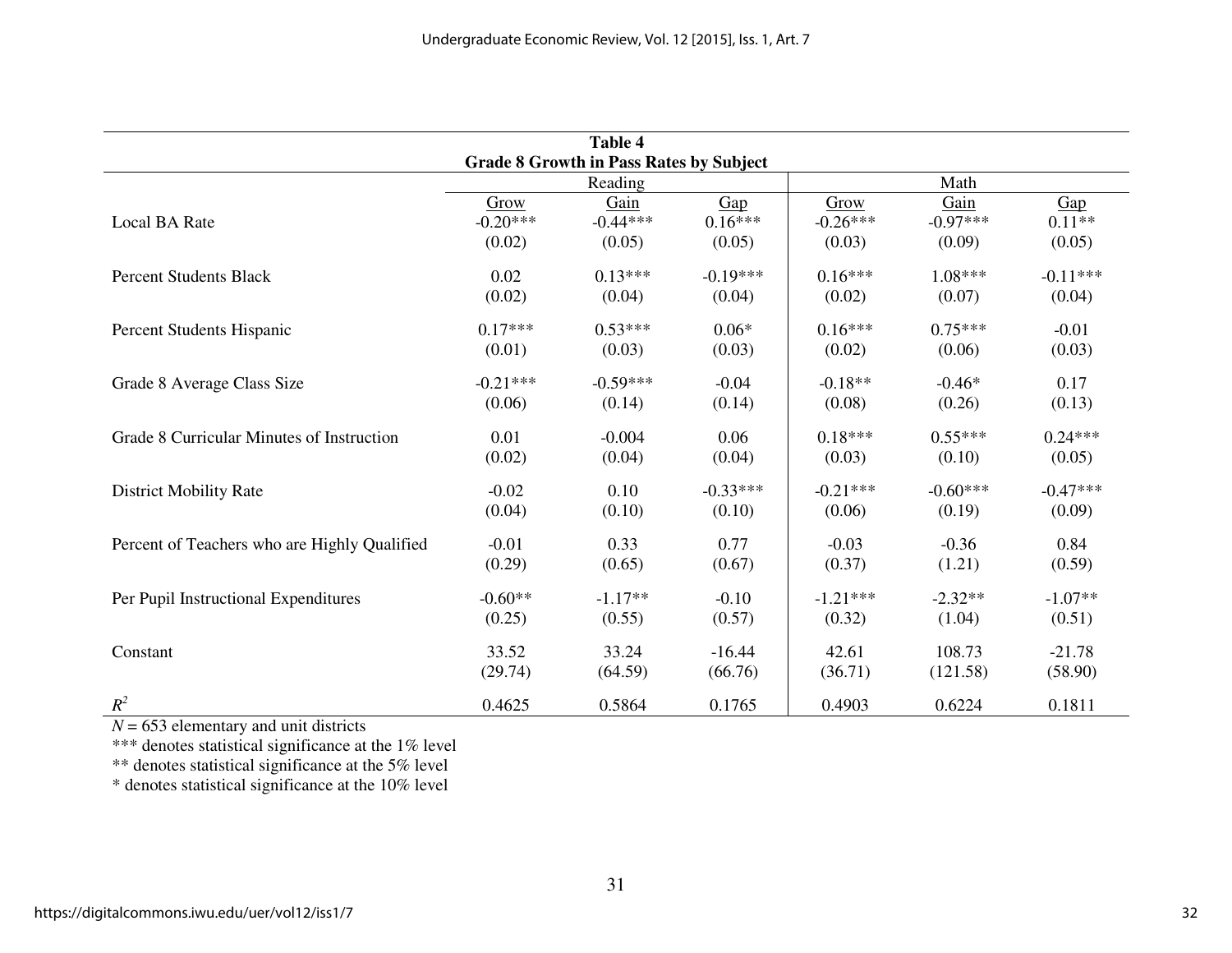| <b>Table 4</b>                                 |                    |                    |                  |                    |                    |                 |  |  |  |  |
|------------------------------------------------|--------------------|--------------------|------------------|--------------------|--------------------|-----------------|--|--|--|--|
| <b>Grade 8 Growth in Pass Rates by Subject</b> |                    |                    |                  |                    |                    |                 |  |  |  |  |
|                                                | Reading            |                    |                  |                    |                    |                 |  |  |  |  |
| Local BA Rate                                  | Grow<br>$-0.20***$ | Gain<br>$-0.44***$ | Gap<br>$0.16***$ | Grow<br>$-0.26***$ | Gain<br>$-0.97***$ | Gap<br>$0.11**$ |  |  |  |  |
|                                                | (0.02)             | (0.05)             | (0.05)           | (0.03)             | (0.09)             | (0.05)          |  |  |  |  |
| <b>Percent Students Black</b>                  | 0.02               | $0.13***$          | $-0.19***$       | $0.16***$          | $1.08***$          | $-0.11***$      |  |  |  |  |
|                                                | (0.02)             | (0.04)             | (0.04)           | (0.02)             | (0.07)             | (0.04)          |  |  |  |  |
| Percent Students Hispanic                      | $0.17***$          | $0.53***$          | $0.06*$          | $0.16***$          | $0.75***$          | $-0.01$         |  |  |  |  |
|                                                | (0.01)             | (0.03)             | (0.03)           | (0.02)             | (0.06)             | (0.03)          |  |  |  |  |
| Grade 8 Average Class Size                     | $-0.21***$         | $-0.59***$         | $-0.04$          | $-0.18**$          | $-0.46*$           | 0.17            |  |  |  |  |
|                                                | (0.06)             | (0.14)             | (0.14)           | (0.08)             | (0.26)             | (0.13)          |  |  |  |  |
| Grade 8 Curricular Minutes of Instruction      | 0.01               | $-0.004$           | 0.06             | $0.18***$          | $0.55***$          | $0.24***$       |  |  |  |  |
|                                                | (0.02)             | (0.04)             | (0.04)           | (0.03)             | (0.10)             | (0.05)          |  |  |  |  |
| <b>District Mobility Rate</b>                  | $-0.02$            | 0.10               | $-0.33***$       | $-0.21***$         | $-0.60***$         | $-0.47***$      |  |  |  |  |
|                                                | (0.04)             | (0.10)             | (0.10)           | (0.06)             | (0.19)             | (0.09)          |  |  |  |  |
| Percent of Teachers who are Highly Qualified   | $-0.01$            | 0.33               | 0.77             | $-0.03$            | $-0.36$            | 0.84            |  |  |  |  |
|                                                | (0.29)             | (0.65)             | (0.67)           | (0.37)             | (1.21)             | (0.59)          |  |  |  |  |
| Per Pupil Instructional Expenditures           | $-0.60**$          | $-1.17**$          | $-0.10$          | $-1.21***$         | $-2.32**$          | $-1.07**$       |  |  |  |  |
|                                                | (0.25)             | (0.55)             | (0.57)           | (0.32)             | (1.04)             | (0.51)          |  |  |  |  |
| Constant                                       | 33.52              | 33.24              | $-16.44$         | 42.61              | 108.73             | $-21.78$        |  |  |  |  |
|                                                | (29.74)            | (64.59)            | (66.76)          | (36.71)            | (121.58)           | (58.90)         |  |  |  |  |
| $R^2$                                          | 0.4625             | 0.5864             | 0.1765           | 0.4903             | 0.6224             | 0.1811          |  |  |  |  |

 $N = 653$  elementary and unit districts<br>\*\*\* denotes statistical significance at the 1% level<br>\*\* denotes statistical significance at the 5% level

\* denotes statistical significance at the 10% level